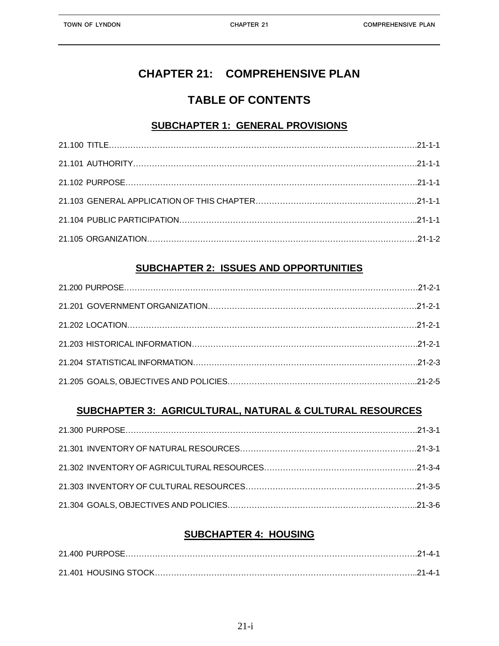# **CHAPTER 21: COMPREHENSIVE PLAN**

# **TABLE OF CONTENTS**

## **SUBCHAPTER 1: GENERAL PROVISIONS**

## **SUBCHAPTER 2: ISSUES AND OPPORTUNITIES**

## **SUBCHAPTER 3: AGRICULTURAL, NATURAL & CULTURAL RESOURCES**

## **SUBCHAPTER 4: HOUSING**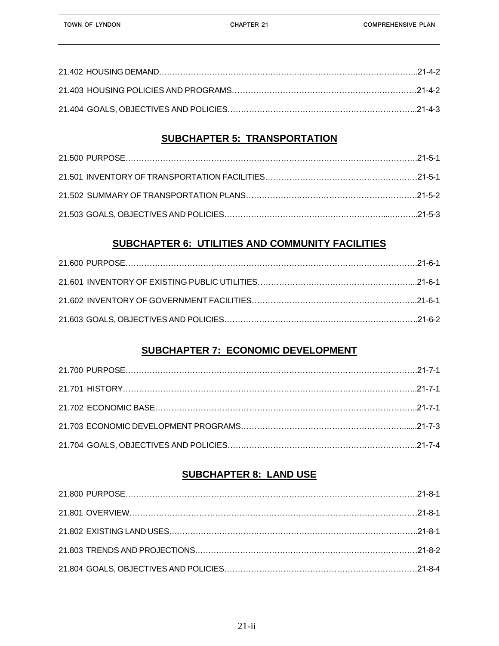## **SUBCHAPTER 5: TRANSPORTATION**

## **SUBCHAPTER 6: UTILITIES AND COMMUNITY FACILITIES**

## **SUBCHAPTER 7: ECONOMIC DEVELOPMENT**

## **SUBCHAPTER 8: LAND USE**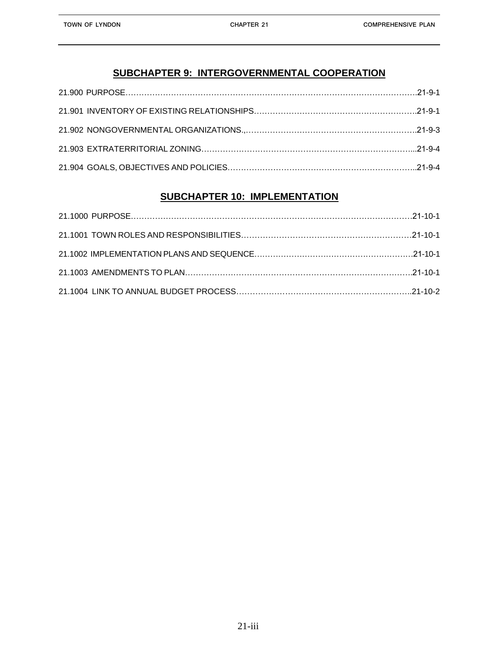## **SUBCHAPTER 10: IMPLEMENTATION**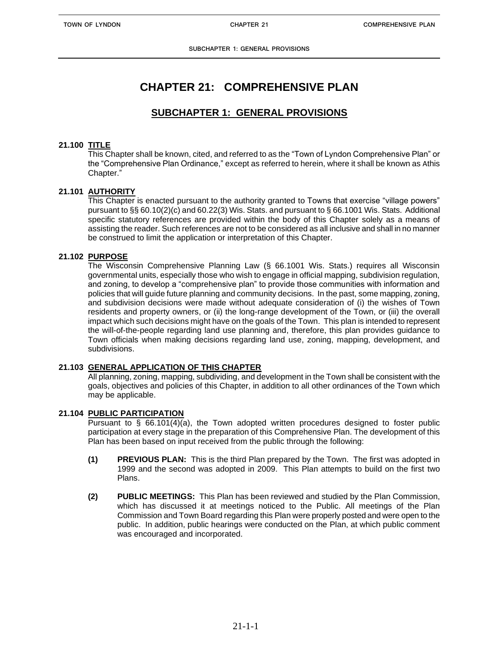# **CHAPTER 21: COMPREHENSIVE PLAN**

## **SUBCHAPTER 1: GENERAL PROVISIONS**

### **21.100 TITLE**

 This Chapter shall be known, cited, and referred to as the "Town of Lyndon Comprehensive Plan" or the "Comprehensive Plan Ordinance," except as referred to herein, where it shall be known as Athis Chapter."

### **21.101 AUTHORITY**

This Chapter is enacted pursuant to the authority granted to Towns that exercise "village powers" pursuant to §§ 60.10(2)(c) and 60.22(3) Wis. Stats. and pursuant to § 66.1001 Wis. Stats. Additional specific statutory references are provided within the body of this Chapter solely as a means of assisting the reader. Such references are not to be considered as all inclusive and shall in no manner be construed to limit the application or interpretation of this Chapter.

### **21.102 PURPOSE**

The Wisconsin Comprehensive Planning Law (§ 66.1001 Wis. Stats.) requires all Wisconsin governmental units, especially those who wish to engage in official mapping, subdivision regulation, and zoning, to develop a "comprehensive plan" to provide those communities with information and policies that will guide future planning and community decisions. In the past, some mapping, zoning, and subdivision decisions were made without adequate consideration of (i) the wishes of Town residents and property owners, or (ii) the long-range development of the Town, or (iii) the overall impact which such decisions might have on the goals of the Town. This plan is intended to represent the will-of-the-people regarding land use planning and, therefore, this plan provides guidance to Town officials when making decisions regarding land use, zoning, mapping, development, and subdivisions.

### **21.103 GENERAL APPLICATION OF THIS CHAPTER**

All planning, zoning, mapping, subdividing, and development in the Town shall be consistent with the goals, objectives and policies of this Chapter, in addition to all other ordinances of the Town which may be applicable.

### **21.104 PUBLIC PARTICIPATION**

Pursuant to § 66.101(4)(a), the Town adopted written procedures designed to foster public participation at every stage in the preparation of this Comprehensive Plan. The development of this Plan has been based on input received from the public through the following:

- **(1) PREVIOUS PLAN:** This is the third Plan prepared by the Town. The first was adopted in 1999 and the second was adopted in 2009. This Plan attempts to build on the first two Plans.
- **(2) PUBLIC MEETINGS:** This Plan has been reviewed and studied by the Plan Commission, which has discussed it at meetings noticed to the Public. All meetings of the Plan Commission and Town Board regarding this Plan were properly posted and were open to the public. In addition, public hearings were conducted on the Plan, at which public comment was encouraged and incorporated.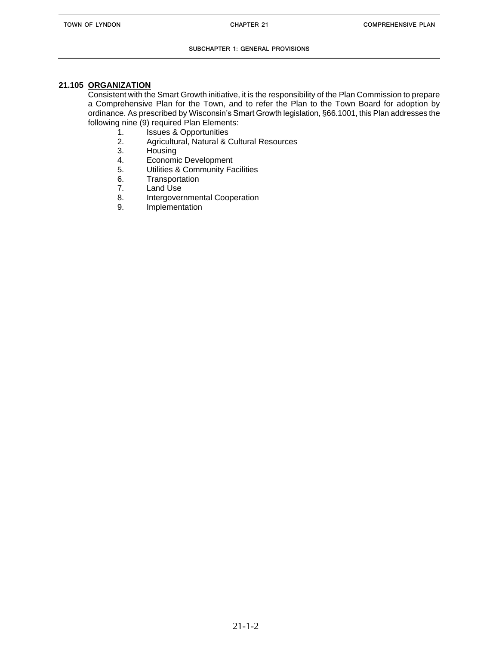#### **SUBCHAPTER 1: GENERAL PROVISIONS**

### **21.105 ORGANIZATION**

Consistent with the Smart Growth initiative, it is the responsibility of the Plan Commission to prepare a Comprehensive Plan for the Town, and to refer the Plan to the Town Board for adoption by ordinance. As prescribed by Wisconsin's Smart Growth legislation, §66.1001, this Plan addresses the following nine (9) required Plan Elements:

- 1. Issues & Opportunities<br>2. Agricultural, Natural & C
- 2. Agricultural, Natural & Cultural Resources<br>3. Housing
- **Housing**
- 4. Economic Development
- 5. Utilities & Community Facilities
- 6. Transportation<br>7. Land Use
- Land Use
- 8. Intergovernmental Cooperation
- 9. Implementation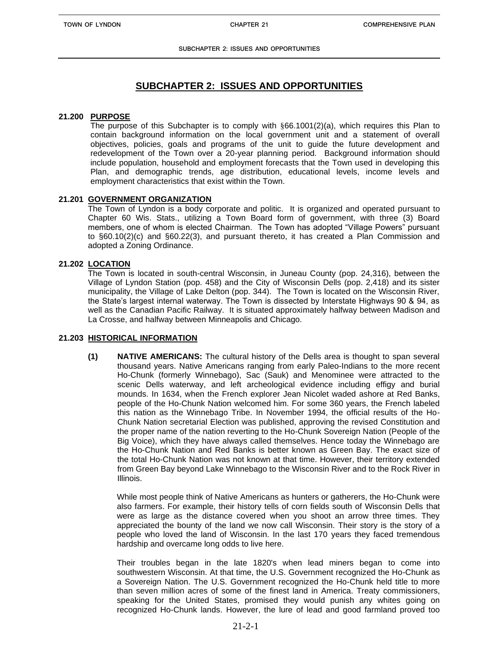## **SUBCHAPTER 2: ISSUES AND OPPORTUNITIES**

#### **21.200 PURPOSE**

The purpose of this Subchapter is to comply with §66.1001(2)(a), which requires this Plan to contain background information on the local government unit and a statement of overall objectives, policies, goals and programs of the unit to guide the future development and redevelopment of the Town over a 20-year planning period. Background information should include population, household and employment forecasts that the Town used in developing this Plan, and demographic trends, age distribution, educational levels, income levels and employment characteristics that exist within the Town.

#### **21.201 GOVERNMENT ORGANIZATION**

The Town of Lyndon is a body corporate and politic. It is organized and operated pursuant to Chapter 60 Wis. Stats., utilizing a Town Board form of government, with three (3) Board members, one of whom is elected Chairman. The Town has adopted "Village Powers" pursuant to §60.10(2)(c) and §60.22(3), and pursuant thereto, it has created a Plan Commission and adopted a Zoning Ordinance.

#### **21.202 LOCATION**

The Town is located in south-central Wisconsin, in Juneau County (pop. 24,316), between the Village of Lyndon Station (pop. 458) and the City of Wisconsin Dells (pop. 2,418) and its sister municipality, the Village of Lake Delton (pop. 344). The Town is located on the Wisconsin River, the State's largest internal waterway. The Town is dissected by Interstate Highways 90 & 94, as well as the Canadian Pacific Railway. It is situated approximately halfway between Madison and La Crosse, and halfway between Minneapolis and Chicago.

#### **21.203 HISTORICAL INFORMATION**

**(1) NATIVE AMERICANS:** The cultural history of the Dells area is thought to span several thousand years. Native Americans ranging from early Paleo-Indians to the more recent Ho-Chunk (formerly Winnebago), Sac (Sauk) and Menominee were attracted to the scenic Dells waterway, and left archeological evidence including effigy and burial mounds. In 1634, when the French explorer Jean Nicolet waded ashore at Red Banks, people of the Ho-Chunk Nation welcomed him. For some 360 years, the French labeled this nation as the Winnebago Tribe. In November 1994, the official results of the Ho-Chunk Nation secretarial Election was published, approving the revised Constitution and the proper name of the nation reverting to the Ho-Chunk Sovereign Nation (People of the Big Voice), which they have always called themselves. Hence today the Winnebago are the Ho-Chunk Nation and Red Banks is better known as Green Bay. The exact size of the total Ho-Chunk Nation was not known at that time. However, their territory extended from Green Bay beyond Lake Winnebago to the Wisconsin River and to the Rock River in Illinois.

While most people think of Native Americans as hunters or gatherers, the Ho-Chunk were also farmers. For example, their history tells of corn fields south of Wisconsin Dells that were as large as the distance covered when you shoot an arrow three times. They appreciated the bounty of the land we now call Wisconsin. Their story is the story of a people who loved the land of Wisconsin. In the last 170 years they faced tremendous hardship and overcame long odds to live here.

Their troubles began in the late 1820's when lead miners began to come into southwestern Wisconsin. At that time, the U.S. Government recognized the Ho-Chunk as a Sovereign Nation. The U.S. Government recognized the Ho-Chunk held title to more than seven million acres of some of the finest land in America. Treaty commissioners, speaking for the United States, promised they would punish any whites going on recognized Ho-Chunk lands. However, the lure of lead and good farmland proved too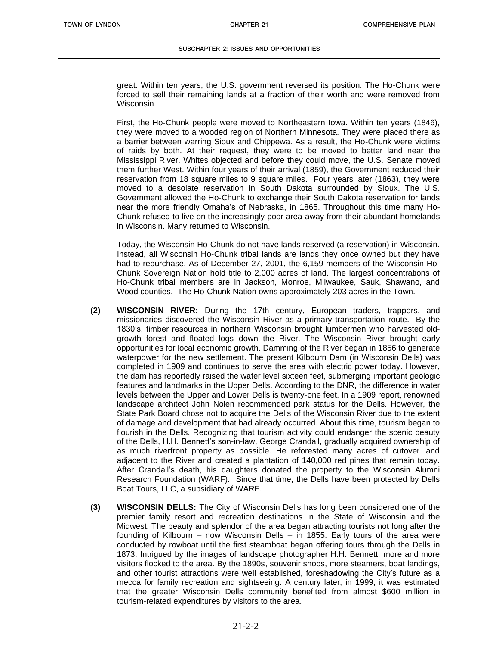great. Within ten years, the U.S. government reversed its position. The Ho-Chunk were forced to sell their remaining lands at a fraction of their worth and were removed from Wisconsin.

First, the Ho-Chunk people were moved to Northeastern Iowa. Within ten years (1846), they were moved to a wooded region of Northern Minnesota. They were placed there as a barrier between warring Sioux and Chippewa. As a result, the Ho-Chunk were victims of raids by both. At their request, they were to be moved to better land near the Mississippi River. Whites objected and before they could move, the U.S. Senate moved them further West. Within four years of their arrival (1859), the Government reduced their reservation from 18 square miles to 9 square miles. Four years later (1863), they were moved to a desolate reservation in South Dakota surrounded by Sioux. The U.S. Government allowed the Ho-Chunk to exchange their South Dakota reservation for lands near the more friendly Omaha's of Nebraska, in 1865. Throughout this time many Ho-Chunk refused to live on the increasingly poor area away from their abundant homelands in Wisconsin. Many returned to Wisconsin.

Today, the Wisconsin Ho-Chunk do not have lands reserved (a reservation) in Wisconsin. Instead, all Wisconsin Ho-Chunk tribal lands are lands they once owned but they have had to repurchase. As of December 27, 2001, the 6,159 members of the Wisconsin Ho-Chunk Sovereign Nation hold title to 2,000 acres of land. The largest concentrations of Ho-Chunk tribal members are in Jackson, Monroe, Milwaukee, Sauk, Shawano, and Wood counties. The Ho-Chunk Nation owns approximately 203 acres in the Town.

- **(2) WISCONSIN RIVER:** During the 17th century, European traders, trappers, and missionaries discovered the Wisconsin River as a primary transportation route. By the 1830's, timber resources in northern Wisconsin brought lumbermen who harvested oldgrowth forest and floated logs down the River. The Wisconsin River brought early opportunities for local economic growth. Damming of the River began in 1856 to generate waterpower for the new settlement. The present Kilbourn Dam (in Wisconsin Dells) was completed in 1909 and continues to serve the area with electric power today. However, the dam has reportedly raised the water level sixteen feet, submerging important geologic features and landmarks in the Upper Dells. According to the DNR, the difference in water levels between the Upper and Lower Dells is twenty-one feet. In a 1909 report, renowned landscape architect John Nolen recommended park status for the Dells. However, the State Park Board chose not to acquire the Dells of the Wisconsin River due to the extent of damage and development that had already occurred. About this time, tourism began to flourish in the Dells. Recognizing that tourism activity could endanger the scenic beauty of the Dells, H.H. Bennett's son-in-law, George Crandall, gradually acquired ownership of as much riverfront property as possible. He reforested many acres of cutover land adjacent to the River and created a plantation of 140,000 red pines that remain today. After Crandall's death, his daughters donated the property to the Wisconsin Alumni Research Foundation (WARF). Since that time, the Dells have been protected by Dells Boat Tours, LLC, a subsidiary of WARF.
- **(3) WISCONSIN DELLS:** The City of Wisconsin Dells has long been considered one of the premier family resort and recreation destinations in the State of Wisconsin and the Midwest. The beauty and splendor of the area began attracting tourists not long after the founding of Kilbourn – now Wisconsin Dells – in 1855. Early tours of the area were conducted by rowboat until the first steamboat began offering tours through the Dells in 1873. Intrigued by the images of landscape photographer H.H. Bennett, more and more visitors flocked to the area. By the 1890s, souvenir shops, more steamers, boat landings, and other tourist attractions were well established, foreshadowing the City's future as a mecca for family recreation and sightseeing. A century later, in 1999, it was estimated that the greater Wisconsin Dells community benefited from almost \$600 million in tourism-related expenditures by visitors to the area.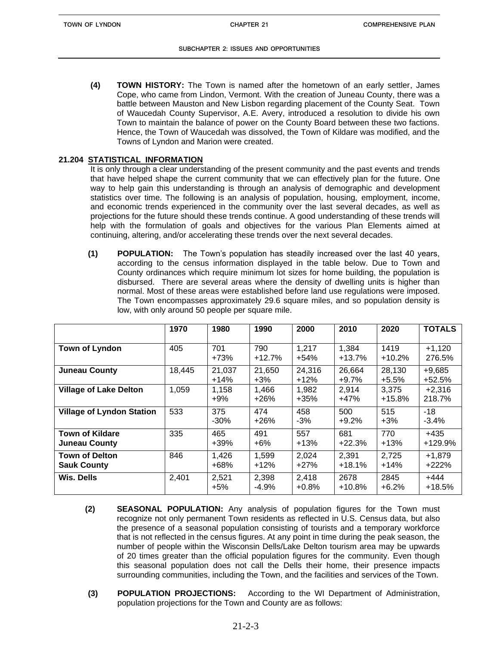**(4) TOWN HISTORY:** The Town is named after the hometown of an early settler, James Cope, who came from Lindon, Vermont. With the creation of Juneau County, there was a battle between Mauston and New Lisbon regarding placement of the County Seat. Town of Waucedah County Supervisor, A.E. Avery, introduced a resolution to divide his own Town to maintain the balance of power on the County Board between these two factions. Hence, the Town of Waucedah was dissolved, the Town of Kildare was modified, and the Towns of Lyndon and Marion were created.

### **21.204 STATISTICAL INFORMATION**

It is only through a clear understanding of the present community and the past events and trends that have helped shape the current community that we can effectively plan for the future. One way to help gain this understanding is through an analysis of demographic and development statistics over time. The following is an analysis of population, housing, employment, income, and economic trends experienced in the community over the last several decades, as well as projections for the future should these trends continue. A good understanding of these trends will help with the formulation of goals and objectives for the various Plan Elements aimed at continuing, altering, and/or accelerating these trends over the next several decades.

**(1) POPULATION:** The Town's population has steadily increased over the last 40 years, according to the census information displayed in the table below. Due to Town and County ordinances which require minimum lot sizes for home building, the population is disbursed. There are several areas where the density of dwelling units is higher than normal. Most of these areas were established before land use regulations were imposed. The Town encompasses approximately 29.6 square miles, and so population density is low, with only around 50 people per square mile.

|                                                | 1970   | 1980             | 1990             | 2000             | 2010              | 2020              | <b>TOTALS</b>        |
|------------------------------------------------|--------|------------------|------------------|------------------|-------------------|-------------------|----------------------|
| Town of Lyndon                                 | 405    | 701<br>$+73%$    | 790<br>$+12.7%$  | 1,217<br>$+54%$  | 1,384<br>$+13.7%$ | 1419<br>$+10.2%$  | $+1,120$<br>276.5%   |
| <b>Juneau County</b>                           | 18,445 | 21,037<br>$+14%$ | 21,650<br>$+3\%$ | 24,316<br>$+12%$ | 26,664<br>$+9.7%$ | 28,130<br>$+5.5%$ | $+9,685$<br>$+52.5%$ |
| <b>Village of Lake Delton</b>                  | 1,059  | 1,158<br>$+9%$   | 1,466<br>$+26%$  | 1,982<br>$+35%$  | 2,914<br>+47%     | 3,375<br>$+15.8%$ | $+2,316$<br>218.7%   |
| <b>Village of Lyndon Station</b>               | 533    | 375<br>$-30\%$   | 474<br>$+26%$    | 458<br>$-3%$     | 500<br>$+9.2%$    | 515<br>$+3%$      | $-18$<br>$-3.4%$     |
| <b>Town of Kildare</b><br><b>Juneau County</b> | 335    | 465<br>+39%      | 491<br>$+6\%$    | 557<br>$+13%$    | 681<br>$+22.3%$   | 770<br>$+13%$     | $+435$<br>+129.9%    |
| <b>Town of Delton</b><br><b>Sauk County</b>    | 846    | 1,426<br>$+68%$  | 1,599<br>$+12%$  | 2,024<br>$+27%$  | 2,391<br>$+18.1%$ | 2,725<br>$+14%$   | $+1,879$<br>$+222%$  |
| <b>Wis. Dells</b>                              | 2,401  | 2,521<br>$+5%$   | 2,398<br>$-4.9%$ | 2,418<br>$+0.8%$ | 2678<br>$+10.8%$  | 2845<br>$+6.2%$   | $+444$<br>$+18.5%$   |

- **(2) SEASONAL POPULATION:** Any analysis of population figures for the Town must recognize not only permanent Town residents as reflected in U.S. Census data, but also the presence of a seasonal population consisting of tourists and a temporary workforce that is not reflected in the census figures. At any point in time during the peak season, the number of people within the Wisconsin Dells/Lake Delton tourism area may be upwards of 20 times greater than the official population figures for the community. Even though this seasonal population does not call the Dells their home, their presence impacts surrounding communities, including the Town, and the facilities and services of the Town.
- **(3) POPULATION PROJECTIONS:** According to the WI Department of Administration, population projections for the Town and County are as follows: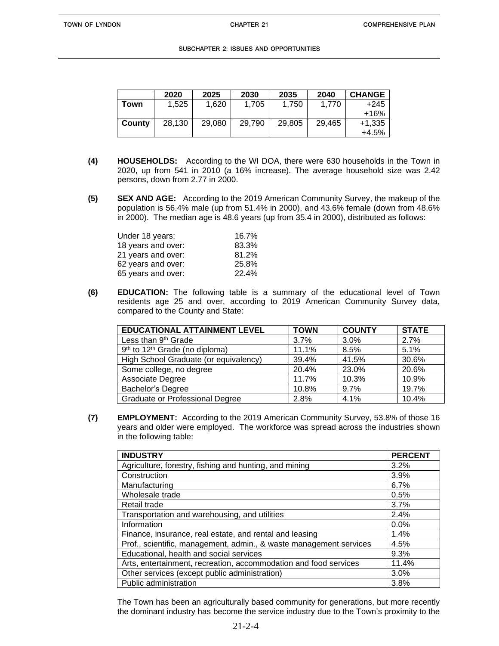|        | 2020   | 2025   | 2030   | 2035   | 2040   | <b>CHANGE</b> |
|--------|--------|--------|--------|--------|--------|---------------|
| Town   | 1,525  | 1,620  | 1,705  | 1,750  | 1,770  | +245          |
|        |        |        |        |        |        | +16%          |
| County | 28,130 | 29,080 | 29.790 | 29.805 | 29,465 | $+1,335$      |
|        |        |        |        |        |        | +4.5%         |

- **(4) HOUSEHOLDS:** According to the WI DOA, there were 630 households in the Town in 2020, up from 541 in 2010 (a 16% increase). The average household size was 2.42 persons, down from 2.77 in 2000.
- **(5) SEX AND AGE:** According to the 2019 American Community Survey, the makeup of the population is 56.4% male (up from 51.4% in 2000), and 43.6% female (down from 48.6% in 2000). The median age is 48.6 years (up from 35.4 in 2000), distributed as follows:

| Under 18 years:    | 16.7% |
|--------------------|-------|
| 18 years and over: | 83.3% |
| 21 years and over: | 81.2% |
| 62 years and over: | 25.8% |
| 65 years and over: | 22.4% |

**(6) EDUCATION:** The following table is a summary of the educational level of Town residents age 25 and over, according to 2019 American Community Survey data, compared to the County and State:

| <b>EDUCATIONAL ATTAINMENT LEVEL</b>                    | <b>TOWN</b> | <b>COUNTY</b> | <b>STATE</b> |
|--------------------------------------------------------|-------------|---------------|--------------|
| Less than 9 <sup>th</sup> Grade                        | 3.7%        | 3.0%          | 2.7%         |
| 9 <sup>th</sup> to 12 <sup>th</sup> Grade (no diploma) | 11.1%       | 8.5%          | 5.1%         |
| High School Graduate (or equivalency)                  | 39.4%       | 41.5%         | 30.6%        |
| Some college, no degree                                | 20.4%       | 23.0%         | 20.6%        |
| Associate Degree                                       | 11.7%       | 10.3%         | 10.9%        |
| <b>Bachelor's Degree</b>                               | 10.8%       | 9.7%          | 19.7%        |
| <b>Graduate or Professional Degree</b>                 | 2.8%        | 4.1%          | 10.4%        |

**(7) EMPLOYMENT:** According to the 2019 American Community Survey, 53.8% of those 16 years and older were employed. The workforce was spread across the industries shown in the following table:

| <b>INDUSTRY</b>                                                    | <b>PERCENT</b> |
|--------------------------------------------------------------------|----------------|
| Agriculture, forestry, fishing and hunting, and mining             | 3.2%           |
| Construction                                                       | 3.9%           |
| Manufacturing                                                      | 6.7%           |
| Wholesale trade                                                    | 0.5%           |
| Retail trade                                                       | 3.7%           |
| Transportation and warehousing, and utilities                      | 2.4%           |
| Information                                                        | 0.0%           |
| Finance, insurance, real estate, and rental and leasing            | 1.4%           |
| Prof., scientific, management, admin., & waste management services | 4.5%           |
| Educational, health and social services                            | 9.3%           |
| Arts, entertainment, recreation, accommodation and food services   | 11.4%          |
| Other services (except public administration)                      | 3.0%           |
| Public administration                                              | 3.8%           |

The Town has been an agriculturally based community for generations, but more recently the dominant industry has become the service industry due to the Town's proximity to the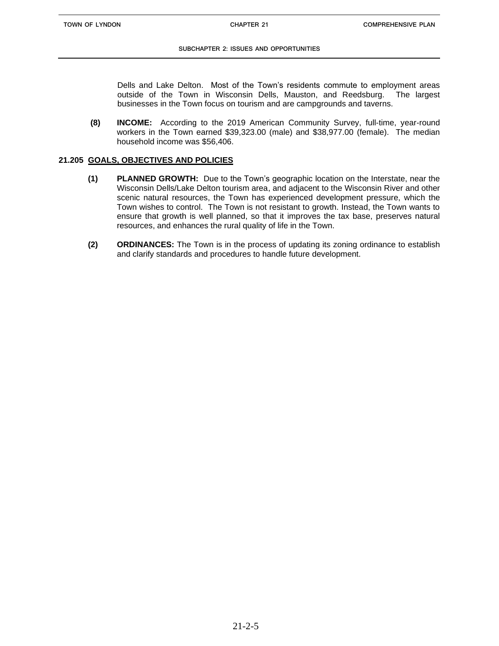#### **SUBCHAPTER 2: ISSUES AND OPPORTUNITIES**

Dells and Lake Delton. Most of the Town's residents commute to employment areas outside of the Town in Wisconsin Dells, Mauston, and Reedsburg. The largest businesses in the Town focus on tourism and are campgrounds and taverns.

**(8) INCOME:** According to the 2019 American Community Survey, full-time, year-round workers in the Town earned \$39,323.00 (male) and \$38,977.00 (female). The median household income was \$56,406.

#### **21.205 GOALS, OBJECTIVES AND POLICIES**

- **(1) PLANNED GROWTH:** Due to the Town's geographic location on the Interstate, near the Wisconsin Dells/Lake Delton tourism area, and adjacent to the Wisconsin River and other scenic natural resources, the Town has experienced development pressure, which the Town wishes to control. The Town is not resistant to growth. Instead, the Town wants to ensure that growth is well planned, so that it improves the tax base, preserves natural resources, and enhances the rural quality of life in the Town.
- **(2) ORDINANCES:** The Town is in the process of updating its zoning ordinance to establish and clarify standards and procedures to handle future development.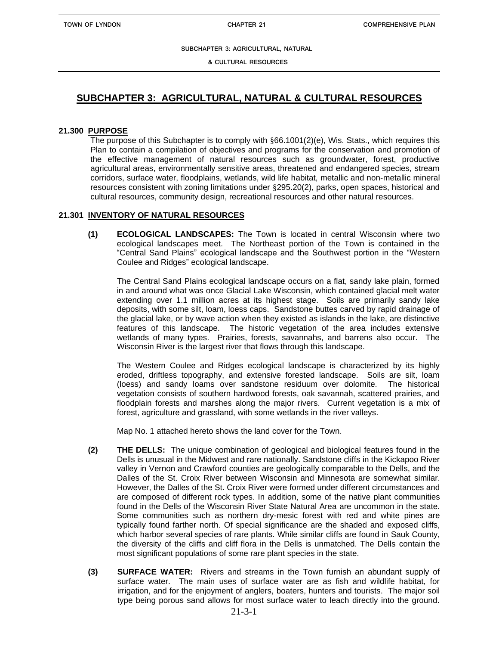**& CULTURAL RESOURCES**

## **SUBCHAPTER 3: AGRICULTURAL, NATURAL & CULTURAL RESOURCES**

#### **21.300 PURPOSE**

The purpose of this Subchapter is to comply with §66.1001(2)(e), Wis. Stats., which requires this Plan to contain a compilation of objectives and programs for the conservation and promotion of the effective management of natural resources such as groundwater, forest, productive agricultural areas, environmentally sensitive areas, threatened and endangered species, stream corridors, surface water, floodplains, wetlands, wild life habitat, metallic and non-metallic mineral resources consistent with zoning limitations under §295.20(2), parks, open spaces, historical and cultural resources, community design, recreational resources and other natural resources.

### **21.301 INVENTORY OF NATURAL RESOURCES**

**(1) ECOLOGICAL LANDSCAPES:** The Town is located in central Wisconsin where two ecological landscapes meet. The Northeast portion of the Town is contained in the "Central Sand Plains" ecological landscape and the Southwest portion in the "Western Coulee and Ridges" ecological landscape.

The Central Sand Plains ecological landscape occurs on a flat, sandy lake plain, formed in and around what was once Glacial Lake Wisconsin, which contained glacial melt water extending over 1.1 million acres at its highest stage. Soils are primarily sandy lake deposits, with some silt, loam, loess caps. Sandstone buttes carved by rapid drainage of the glacial lake, or by wave action when they existed as islands in the lake, are distinctive features of this landscape. The historic vegetation of the area includes extensive wetlands of many types. Prairies, forests, savannahs, and barrens also occur. The Wisconsin River is the largest river that flows through this landscape.

The Western Coulee and Ridges ecological landscape is characterized by its highly eroded, driftless topography, and extensive forested landscape. Soils are silt, loam (loess) and sandy loams over sandstone residuum over dolomite. The historical vegetation consists of southern hardwood forests, oak savannah, scattered prairies, and floodplain forests and marshes along the major rivers. Current vegetation is a mix of forest, agriculture and grassland, with some wetlands in the river valleys.

Map No. 1 attached hereto shows the land cover for the Town.

- **(2) THE DELLS:** The unique combination of geological and biological features found in the Dells is unusual in the Midwest and rare nationally. Sandstone cliffs in the Kickapoo River valley in Vernon and Crawford counties are geologically comparable to the Dells, and the Dalles of the St. Croix River between Wisconsin and Minnesota are somewhat similar. However, the Dalles of the St. Croix River were formed under different circumstances and are composed of different rock types. In addition, some of the native plant communities found in the Dells of the Wisconsin River State Natural Area are uncommon in the state. Some communities such as northern dry-mesic forest with red and white pines are typically found farther north. Of special significance are the shaded and exposed cliffs, which harbor several species of rare plants. While similar cliffs are found in Sauk County, the diversity of the cliffs and cliff flora in the Dells is unmatched. The Dells contain the most significant populations of some rare plant species in the state.
- **(3) SURFACE WATER:** Rivers and streams in the Town furnish an abundant supply of surface water. The main uses of surface water are as fish and wildlife habitat, for irrigation, and for the enjoyment of anglers, boaters, hunters and tourists. The major soil type being porous sand allows for most surface water to leach directly into the ground.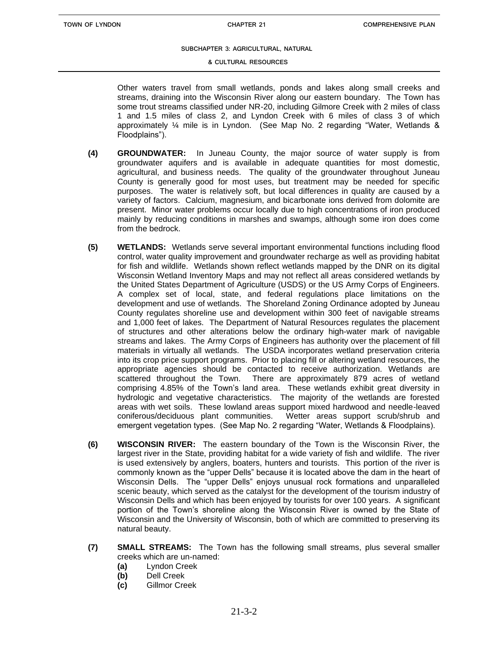#### **& CULTURAL RESOURCES**

Other waters travel from small wetlands, ponds and lakes along small creeks and streams, draining into the Wisconsin River along our eastern boundary. The Town has some trout streams classified under NR-20, including Gilmore Creek with 2 miles of class 1 and 1.5 miles of class 2, and Lyndon Creek with 6 miles of class 3 of which approximately ¼ mile is in Lyndon. (See Map No. 2 regarding "Water, Wetlands & Floodplains").

- **(4) GROUNDWATER:** In Juneau County, the major source of water supply is from groundwater aquifers and is available in adequate quantities for most domestic, agricultural, and business needs. The quality of the groundwater throughout Juneau County is generally good for most uses, but treatment may be needed for specific purposes. The water is relatively soft, but local differences in quality are caused by a variety of factors. Calcium, magnesium, and bicarbonate ions derived from dolomite are present. Minor water problems occur locally due to high concentrations of iron produced mainly by reducing conditions in marshes and swamps, although some iron does come from the bedrock.
- **(5) WETLANDS:** Wetlands serve several important environmental functions including flood control, water quality improvement and groundwater recharge as well as providing habitat for fish and wildlife. Wetlands shown reflect wetlands mapped by the DNR on its digital Wisconsin Wetland Inventory Maps and may not reflect all areas considered wetlands by the United States Department of Agriculture (USDS) or the US Army Corps of Engineers. A complex set of local, state, and federal regulations place limitations on the development and use of wetlands. The Shoreland Zoning Ordinance adopted by Juneau County regulates shoreline use and development within 300 feet of navigable streams and 1,000 feet of lakes. The Department of Natural Resources regulates the placement of structures and other alterations below the ordinary high-water mark of navigable streams and lakes. The Army Corps of Engineers has authority over the placement of fill materials in virtually all wetlands. The USDA incorporates wetland preservation criteria into its crop price support programs. Prior to placing fill or altering wetland resources, the appropriate agencies should be contacted to receive authorization. Wetlands are scattered throughout the Town. There are approximately 879 acres of wetland comprising 4.85% of the Town's land area. These wetlands exhibit great diversity in hydrologic and vegetative characteristics. The majority of the wetlands are forested areas with wet soils. These lowland areas support mixed hardwood and needle-leaved coniferous/deciduous plant communities. Wetter areas support scrub/shrub and emergent vegetation types. (See Map No. 2 regarding "Water, Wetlands & Floodplains).
- **(6) WISCONSIN RIVER:** The eastern boundary of the Town is the Wisconsin River, the largest river in the State, providing habitat for a wide variety of fish and wildlife. The river is used extensively by anglers, boaters, hunters and tourists. This portion of the river is commonly known as the "upper Dells" because it is located above the dam in the heart of Wisconsin Dells. The "upper Dells" enjoys unusual rock formations and unparalleled scenic beauty, which served as the catalyst for the development of the tourism industry of Wisconsin Dells and which has been enjoyed by tourists for over 100 years. A significant portion of the Town's shoreline along the Wisconsin River is owned by the State of Wisconsin and the University of Wisconsin, both of which are committed to preserving its natural beauty.
- **(7) SMALL STREAMS:** The Town has the following small streams, plus several smaller creeks which are un-named:
	- **(a)** Lyndon Creek
	- **(b)** Dell Creek
	- **(c)** Gillmor Creek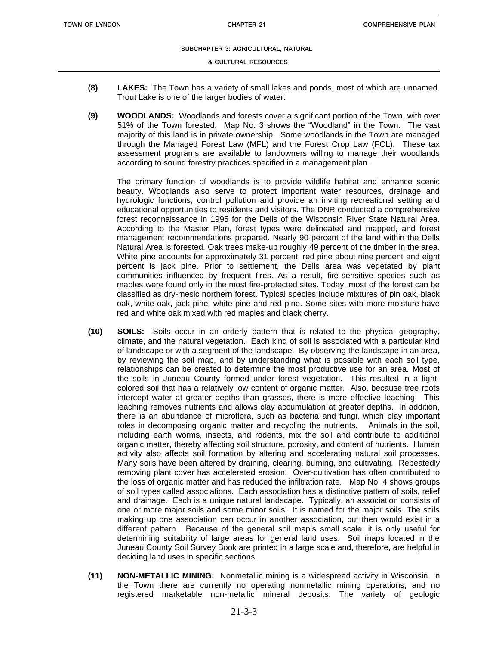#### **& CULTURAL RESOURCES**

- **(8) LAKES:** The Town has a variety of small lakes and ponds, most of which are unnamed. Trout Lake is one of the larger bodies of water.
- **(9) WOODLANDS:** Woodlands and forests cover a significant portion of the Town, with over 51% of the Town forested. Map No. 3 shows the "Woodland" in the Town. The vast majority of this land is in private ownership. Some woodlands in the Town are managed through the Managed Forest Law (MFL) and the Forest Crop Law (FCL). These tax assessment programs are available to landowners willing to manage their woodlands according to sound forestry practices specified in a management plan.

The primary function of woodlands is to provide wildlife habitat and enhance scenic beauty. Woodlands also serve to protect important water resources, drainage and hydrologic functions, control pollution and provide an inviting recreational setting and educational opportunities to residents and visitors. The DNR conducted a comprehensive forest reconnaissance in 1995 for the Dells of the Wisconsin River State Natural Area. According to the Master Plan, forest types were delineated and mapped, and forest management recommendations prepared. Nearly 90 percent of the land within the Dells Natural Area is forested. Oak trees make-up roughly 49 percent of the timber in the area. White pine accounts for approximately 31 percent, red pine about nine percent and eight percent is jack pine. Prior to settlement, the Dells area was vegetated by plant communities influenced by frequent fires. As a result, fire-sensitive species such as maples were found only in the most fire-protected sites. Today, most of the forest can be classified as dry-mesic northern forest. Typical species include mixtures of pin oak, black oak, white oak, jack pine, white pine and red pine. Some sites with more moisture have red and white oak mixed with red maples and black cherry.

- **(10) SOILS:** Soils occur in an orderly pattern that is related to the physical geography, climate, and the natural vegetation. Each kind of soil is associated with a particular kind of landscape or with a segment of the landscape. By observing the landscape in an area, by reviewing the soil map, and by understanding what is possible with each soil type, relationships can be created to determine the most productive use for an area. Most of the soils in Juneau County formed under forest vegetation. This resulted in a lightcolored soil that has a relatively low content of organic matter. Also, because tree roots intercept water at greater depths than grasses, there is more effective leaching. This leaching removes nutrients and allows clay accumulation at greater depths. In addition, there is an abundance of microflora, such as bacteria and fungi, which play important roles in decomposing organic matter and recycling the nutrients. Animals in the soil, including earth worms, insects, and rodents, mix the soil and contribute to additional organic matter, thereby affecting soil structure, porosity, and content of nutrients. Human activity also affects soil formation by altering and accelerating natural soil processes. Many soils have been altered by draining, clearing, burning, and cultivating. Repeatedly removing plant cover has accelerated erosion. Over-cultivation has often contributed to the loss of organic matter and has reduced the infiltration rate. Map No. 4 shows groups of soil types called associations. Each association has a distinctive pattern of soils, relief and drainage. Each is a unique natural landscape. Typically, an association consists of one or more major soils and some minor soils. It is named for the major soils. The soils making up one association can occur in another association, but then would exist in a different pattern. Because of the general soil map's small scale, it is only useful for determining suitability of large areas for general land uses. Soil maps located in the Juneau County Soil Survey Book are printed in a large scale and, therefore, are helpful in deciding land uses in specific sections.
- **(11) NON-METALLIC MINING:** Nonmetallic mining is a widespread activity in Wisconsin. In the Town there are currently no operating nonmetallic mining operations, and no registered marketable non-metallic mineral deposits. The variety of geologic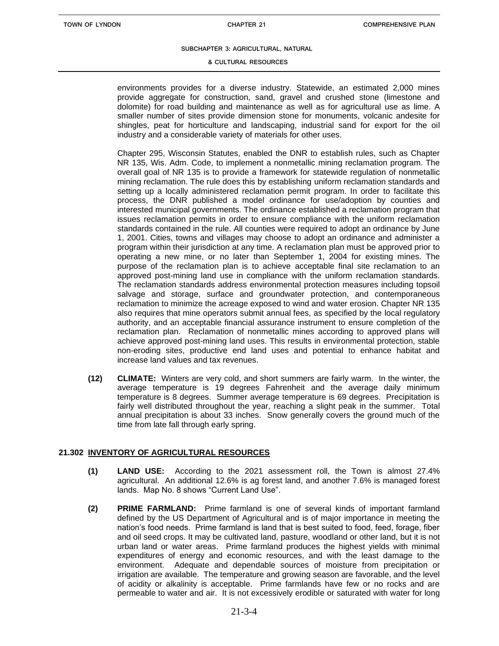#### **& CULTURAL RESOURCES**

environments provides for a diverse industry. Statewide, an estimated 2,000 mines provide aggregate for construction, sand, gravel and crushed stone (limestone and dolomite) for road building and maintenance as well as for agricultural use as lime. A smaller number of sites provide dimension stone for monuments, volcanic andesite for shingles, peat for horticulture and landscaping, industrial sand for export for the oil industry and a considerable variety of materials for other uses.

Chapter 295, Wisconsin Statutes, enabled the DNR to establish rules, such as Chapter NR 135, Wis. Adm. Code, to implement a nonmetallic mining reclamation program. The overall goal of NR 135 is to provide a framework for statewide regulation of nonmetallic mining reclamation. The rule does this by establishing uniform reclamation standards and setting up a locally administered reclamation permit program. In order to facilitate this process, the DNR published a model ordinance for use/adoption by counties and interested municipal governments. The ordinance established a reclamation program that issues reclamation permits in order to ensure compliance with the uniform reclamation standards contained in the rule. All counties were required to adopt an ordinance by June 1, 2001. Cities, towns and villages may choose to adopt an ordinance and administer a program within their jurisdiction at any time. A reclamation plan must be approved prior to operating a new mine, or no later than September 1, 2004 for existing mines. The purpose of the reclamation plan is to achieve acceptable final site reclamation to an approved post-mining land use in compliance with the uniform reclamation standards. The reclamation standards address environmental protection measures including topsoil salvage and storage, surface and groundwater protection, and contemporaneous reclamation to minimize the acreage exposed to wind and water erosion. Chapter NR 135 also requires that mine operators submit annual fees, as specified by the local regulatory authority, and an acceptable financial assurance instrument to ensure completion of the reclamation plan. Reclamation of nonmetallic mines according to approved plans will achieve approved post-mining land uses. This results in environmental protection, stable non-eroding sites, productive end land uses and potential to enhance habitat and increase land values and tax revenues.

**(12) CLIMATE:** Winters are very cold, and short summers are fairly warm. In the winter, the average temperature is 19 degrees Fahrenheit and the average daily minimum temperature is 8 degrees. Summer average temperature is 69 degrees. Precipitation is fairly well distributed throughout the year, reaching a slight peak in the summer. Total annual precipitation is about 33 inches. Snow generally covers the ground much of the time from late fall through early spring.

#### **21.302 INVENTORY OF AGRICULTURAL RESOURCES**

- **(1) LAND USE:** According to the 2021 assessment roll, the Town is almost 27.4% agricultural. An additional 12.6% is ag forest land, and another 7.6% is managed forest lands. Map No. 8 shows "Current Land Use".
- **(2) PRIME FARMLAND:** Prime farmland is one of several kinds of important farmland defined by the US Department of Agricultural and is of major importance in meeting the nation's food needs. Prime farmland is land that is best suited to food, feed, forage, fiber and oil seed crops. It may be cultivated land, pasture, woodland or other land, but it is not urban land or water areas. Prime farmland produces the highest yields with minimal expenditures of energy and economic resources, and with the least damage to the environment. Adequate and dependable sources of moisture from precipitation or irrigation are available. The temperature and growing season are favorable, and the level of acidity or alkalinity is acceptable. Prime farmlands have few or no rocks and are permeable to water and air. It is not excessively erodible or saturated with water for long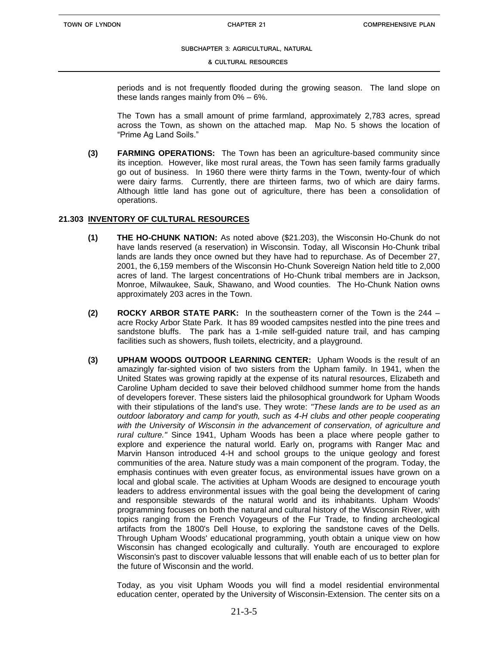#### **& CULTURAL RESOURCES**

periods and is not frequently flooded during the growing season. The land slope on these lands ranges mainly from 0% – 6%.

The Town has a small amount of prime farmland, approximately 2,783 acres, spread across the Town, as shown on the attached map. Map No. 5 shows the location of "Prime Ag Land Soils."

**(3) FARMING OPERATIONS:** The Town has been an agriculture-based community since its inception. However, like most rural areas, the Town has seen family farms gradually go out of business. In 1960 there were thirty farms in the Town, twenty-four of which were dairy farms. Currently, there are thirteen farms, two of which are dairy farms. Although little land has gone out of agriculture, there has been a consolidation of operations.

#### **21.303 INVENTORY OF CULTURAL RESOURCES**

- **(1) THE HO-CHUNK NATION:** As noted above (\$21.203), the Wisconsin Ho-Chunk do not have lands reserved (a reservation) in Wisconsin. Today, all Wisconsin Ho-Chunk tribal lands are lands they once owned but they have had to repurchase. As of December 27, 2001, the 6,159 members of the Wisconsin Ho-Chunk Sovereign Nation held title to 2,000 acres of land. The largest concentrations of Ho-Chunk tribal members are in Jackson, Monroe, Milwaukee, Sauk, Shawano, and Wood counties. The Ho-Chunk Nation owns approximately 203 acres in the Town.
- **(2) ROCKY ARBOR STATE PARK:** In the southeastern corner of the Town is the 244 acre Rocky Arbor State Park. It has 89 wooded campsites nestled into the pine trees and sandstone bluffs. The park has a 1-mile self-guided nature trail, and has camping facilities such as showers, flush toilets, electricity, and a playground.
- **(3) UPHAM WOODS OUTDOOR LEARNING CENTER:** Upham Woods is the result of an amazingly far-sighted vision of two sisters from the Upham family. In 1941, when the United States was growing rapidly at the expense of its natural resources, Elizabeth and Caroline Upham decided to save their beloved childhood summer home from the hands of developers forever. These sisters laid the philosophical groundwork for Upham Woods with their stipulations of the land's use. They wrote: *"These lands are to be used as an outdoor laboratory and camp for youth, such as 4-H clubs and other people cooperating with the University of Wisconsin in the advancement of conservation, of agriculture and rural culture."* Since 1941, Upham Woods has been a place where people gather to explore and experience the natural world. Early on, programs with Ranger Mac and Marvin Hanson introduced 4-H and school groups to the unique geology and forest communities of the area. Nature study was a main component of the program. Today, the emphasis continues with even greater focus, as environmental issues have grown on a local and global scale. The activities at Upham Woods are designed to encourage youth leaders to address environmental issues with the goal being the development of caring and responsible stewards of the natural world and its inhabitants. Upham Woods' programming focuses on both the natural and cultural history of the Wisconsin River, with topics ranging from the French Voyageurs of the Fur Trade, to finding archeological artifacts from the 1800's Dell House, to exploring the sandstone caves of the Dells. Through Upham Woods' educational programming, youth obtain a unique view on how Wisconsin has changed ecologically and culturally. Youth are encouraged to explore Wisconsin's past to discover valuable lessons that will enable each of us to better plan for the future of Wisconsin and the world.

Today, as you visit Upham Woods you will find a model residential environmental education center, operated by the University of Wisconsin-Extension. The center sits on a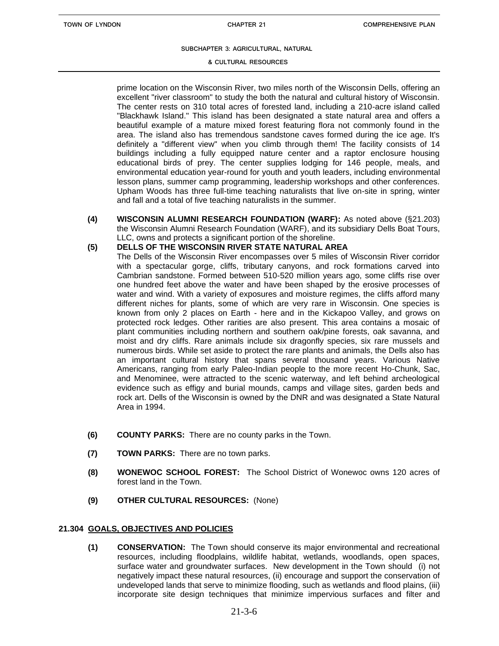#### **& CULTURAL RESOURCES**

prime location on the Wisconsin River, two miles north of the Wisconsin Dells, offering an excellent "river classroom" to study the both the natural and cultural history of Wisconsin. The center rests on 310 total acres of forested land, including a 210-acre island called "Blackhawk Island." This island has been designated a state natural area and offers a beautiful example of a mature mixed forest featuring flora not commonly found in the area. The island also has tremendous sandstone caves formed during the ice age. It's definitely a "different view" when you climb through them! The facility consists of 14 buildings including a fully equipped nature center and a raptor enclosure housing educational birds of prey. The center supplies lodging for 146 people, meals, and environmental education year-round for youth and youth leaders, including environmental lesson plans, summer camp programming, leadership workshops and other conferences. Upham Woods has three full-time teaching naturalists that live on-site in spring, winter and fall and a total of five teaching naturalists in the summer.

**(4) WISCONSIN ALUMNI RESEARCH FOUNDATION (WARF):** As noted above (§21.203) the Wisconsin Alumni Research Foundation (WARF), and its subsidiary Dells Boat Tours, LLC, owns and protects a significant portion of the shoreline.

#### **(5) DELLS OF THE WISCONSIN RIVER STATE NATURAL AREA**

- The Dells of the Wisconsin River encompasses over 5 miles of Wisconsin River corridor with a spectacular gorge, cliffs, tributary canyons, and rock formations carved into Cambrian sandstone. Formed between 510-520 million years ago, some cliffs rise over one hundred feet above the water and have been shaped by the erosive processes of water and wind. With a variety of exposures and moisture regimes, the cliffs afford many different niches for plants, some of which are very rare in Wisconsin. One species is known from only 2 places on Earth - here and in the Kickapoo Valley, and grows on protected rock ledges. Other rarities are also present. This area contains a mosaic of plant communities including northern and southern oak/pine forests, oak savanna, and moist and dry cliffs. Rare animals include six dragonfly species, six rare mussels and numerous birds. While set aside to protect the rare plants and animals, the Dells also has an important cultural history that spans several thousand years. Various Native Americans, ranging from early Paleo-Indian people to the more recent Ho-Chunk, Sac, and Menominee, were attracted to the scenic waterway, and left behind archeological evidence such as effigy and burial mounds, camps and village sites, garden beds and rock art. Dells of the Wisconsin is owned by the DNR and was designated a State Natural Area in 1994.
- **(6) COUNTY PARKS:** There are no county parks in the Town.
- **(7) TOWN PARKS:** There are no town parks.
- **(8) WONEWOC SCHOOL FOREST:** The School District of Wonewoc owns 120 acres of forest land in the Town.
- **(9) OTHER CULTURAL RESOURCES:** (None)

#### **21.304 GOALS, OBJECTIVES AND POLICIES**

**(1) CONSERVATION:** The Town should conserve its major environmental and recreational resources, including floodplains, wildlife habitat, wetlands, woodlands, open spaces, surface water and groundwater surfaces. New development in the Town should (i) not negatively impact these natural resources, (ii) encourage and support the conservation of undeveloped lands that serve to minimize flooding, such as wetlands and flood plains, (iii) incorporate site design techniques that minimize impervious surfaces and filter and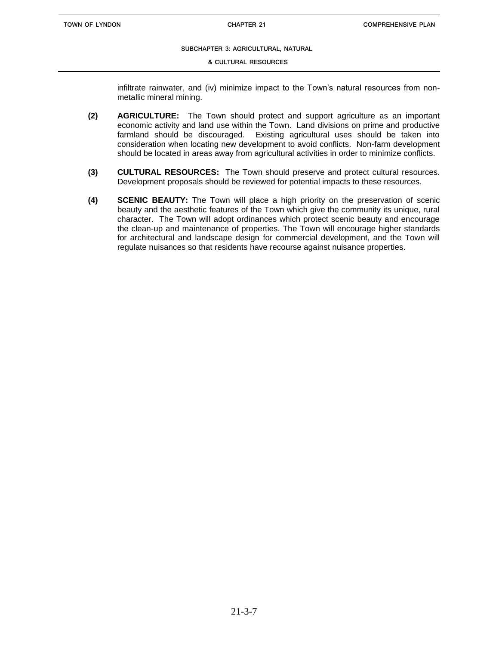#### **& CULTURAL RESOURCES**

infiltrate rainwater, and (iv) minimize impact to the Town's natural resources from nonmetallic mineral mining.

- **(2) AGRICULTURE:** The Town should protect and support agriculture as an important economic activity and land use within the Town. Land divisions on prime and productive farmland should be discouraged. Existing agricultural uses should be taken into consideration when locating new development to avoid conflicts. Non-farm development should be located in areas away from agricultural activities in order to minimize conflicts.
- **(3) CULTURAL RESOURCES:** The Town should preserve and protect cultural resources. Development proposals should be reviewed for potential impacts to these resources.
- **(4) SCENIC BEAUTY:** The Town will place a high priority on the preservation of scenic beauty and the aesthetic features of the Town which give the community its unique, rural character. The Town will adopt ordinances which protect scenic beauty and encourage the clean-up and maintenance of properties. The Town will encourage higher standards for architectural and landscape design for commercial development, and the Town will regulate nuisances so that residents have recourse against nuisance properties.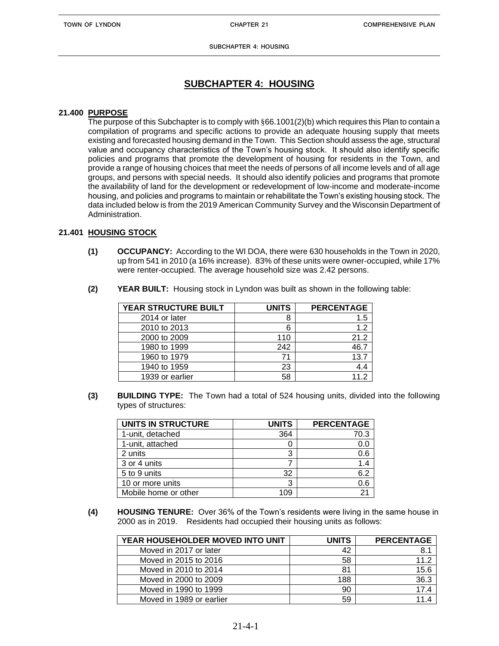**SUBCHAPTER 4: HOUSING**

## **SUBCHAPTER 4: HOUSING**

### **21.400 PURPOSE**

The purpose of this Subchapter is to comply with §66.1001(2)(b) which requires this Plan to contain a compilation of programs and specific actions to provide an adequate housing supply that meets existing and forecasted housing demand in the Town. This Section should assess the age, structural value and occupancy characteristics of the Town's housing stock. It should also identify specific policies and programs that promote the development of housing for residents in the Town, and provide a range of housing choices that meet the needs of persons of all income levels and of all age groups, and persons with special needs. It should also identify policies and programs that promote the availability of land for the development or redevelopment of low-income and moderate-income housing, and policies and programs to maintain or rehabilitate the Town's existing housing stock. The data included below is from the 2019 American Community Survey and the Wisconsin Department of Administration.

### **21.401 HOUSING STOCK**

**(1) OCCUPANCY:** According to the WI DOA, there were 630 households in the Town in 2020, up from 541 in 2010 (a 16% increase). 83% of these units were owner-occupied, while 17% were renter-occupied. The average household size was 2.42 persons.

| YEAR STRUCTURE BUILT | <b>UNITS</b> | <b>PERCENTAGE</b> |
|----------------------|--------------|-------------------|
| 2014 or later        | 8            | 1.5               |
| 2010 to 2013         | 6            | 1.2               |
| 2000 to 2009         | 110          | 21.2              |
| 1980 to 1999         | 242          | 46.7              |
| 1960 to 1979         |              | 13.7              |
| 1940 to 1959         | 23           | 4.4               |
| 1939 or earlier      | 58           | 112               |

**(2) YEAR BUILT:** Housing stock in Lyndon was built as shown in the following table:

**(3) BUILDING TYPE:** The Town had a total of 524 housing units, divided into the following types of structures:

| <b>UNITS IN STRUCTURE</b> | <b>UNITS</b> | <b>PERCENTAGE</b> |
|---------------------------|--------------|-------------------|
| 1-unit, detached          | 364          | 70.3              |
| 1-unit, attached          |              | 0.0               |
| 2 units                   | 3            | 0.6               |
| 3 or 4 units              |              | 1.4               |
| 5 to 9 units              | 32           | 6.2               |
| 10 or more units          | 3            | 0.6               |
| Mobile home or other      |              |                   |

**(4) HOUSING TENURE:** Over 36% of the Town's residents were living in the same house in 2000 as in 2019. Residents had occupied their housing units as follows:

| YEAR HOUSEHOLDER MOVED INTO UNIT | <b>UNITS</b> | <b>PERCENTAGE</b> |
|----------------------------------|--------------|-------------------|
| Moved in 2017 or later           | 42           | 8.1               |
| Moved in 2015 to 2016            | 58           | 11.2              |
| Moved in 2010 to 2014            | 81           | 15.6              |
| Moved in 2000 to 2009            | 188          | 36.3              |
| Moved in 1990 to 1999            | 90           | 17.4              |
| Moved in 1989 or earlier         | 59           |                   |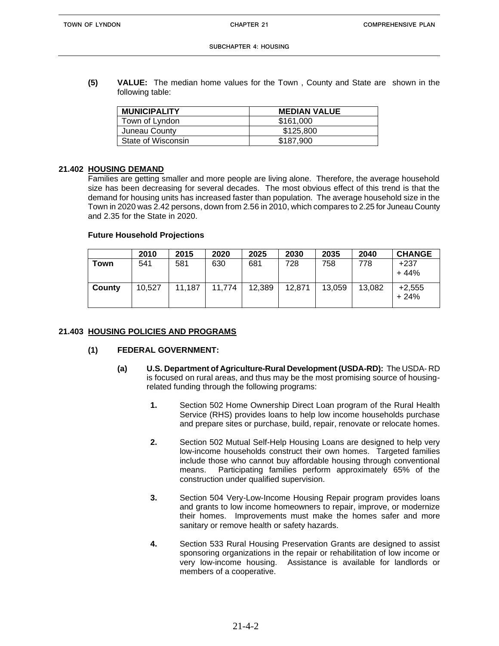**(5) VALUE:** The median home values for the Town , County and State are shown in the following table:

| <b>MUNICIPALITY</b> | <b>MEDIAN VALUE</b> |
|---------------------|---------------------|
| Town of Lyndon      | \$161,000           |
| Juneau County       | \$125,800           |
| State of Wisconsin  | \$187,900           |

#### **21.402 HOUSING DEMAND**

Families are getting smaller and more people are living alone. Therefore, the average household size has been decreasing for several decades. The most obvious effect of this trend is that the demand for housing units has increased faster than population. The average household size in the Town in 2020 was 2.42 persons, down from 2.56 in 2010, which compares to 2.25 for Juneau County and 2.35 for the State in 2020.

### **Future Household Projections**

|        | 2010   | 2015   | 2020   | 2025   | 2030   | 2035   | 2040   | <b>CHANGE</b>      |
|--------|--------|--------|--------|--------|--------|--------|--------|--------------------|
| Town   | 541    | 581    | 630    | 681    | 728    | 758    | 778    | $+237$<br>$+44%$   |
| County | 10,527 | 11,187 | 11,774 | 12,389 | 12,871 | 13,059 | 13,082 | $+2,555$<br>$+24%$ |

#### **21.403 HOUSING POLICIES AND PROGRAMS**

### **(1) FEDERAL GOVERNMENT:**

- **(a) U.S. Department of Agriculture-Rural Development (USDA-RD):** The USDA- RD is focused on rural areas, and thus may be the most promising source of housingrelated funding through the following programs:
	- **1.** Section 502 Home Ownership Direct Loan program of the Rural Health Service (RHS) provides loans to help low income households purchase and prepare sites or purchase, build, repair, renovate or relocate homes.
	- **2.** Section 502 Mutual Self-Help Housing Loans are designed to help very low-income households construct their own homes. Targeted families include those who cannot buy affordable housing through conventional means. Participating families perform approximately 65% of the construction under qualified supervision.
	- **3.** Section 504 Very-Low-Income Housing Repair program provides loans and grants to low income homeowners to repair, improve, or modernize their homes. Improvements must make the homes safer and more sanitary or remove health or safety hazards.
	- **4.** Section 533 Rural Housing Preservation Grants are designed to assist sponsoring organizations in the repair or rehabilitation of low income or very low-income housing. Assistance is available for landlords or members of a cooperative.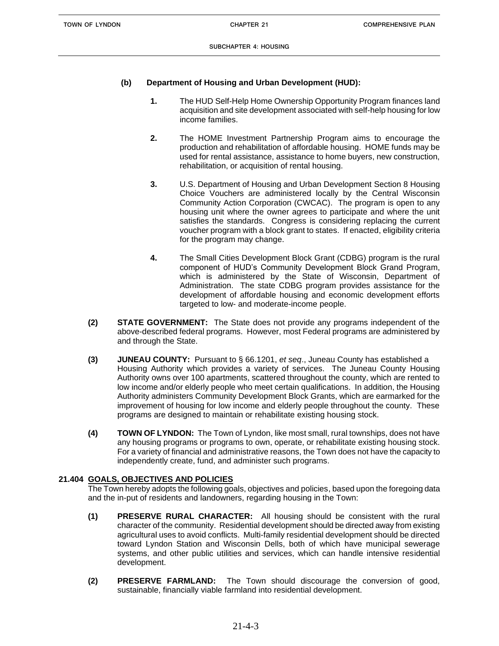### **(b) Department of Housing and Urban Development (HUD):**

- **1.** The HUD Self-Help Home Ownership Opportunity Program finances land acquisition and site development associated with self-help housing for low income families.
- **2.** The HOME Investment Partnership Program aims to encourage the production and rehabilitation of affordable housing. HOME funds may be used for rental assistance, assistance to home buyers, new construction, rehabilitation, or acquisition of rental housing.
- **3.** U.S. Department of Housing and Urban Development Section 8 Housing Choice Vouchers are administered locally by the Central Wisconsin Community Action Corporation (CWCAC). The program is open to any housing unit where the owner agrees to participate and where the unit satisfies the standards. Congress is considering replacing the current voucher program with a block grant to states. If enacted, eligibility criteria for the program may change.
- **4.** The Small Cities Development Block Grant (CDBG) program is the rural component of HUD's Community Development Block Grand Program, which is administered by the State of Wisconsin, Department of Administration. The state CDBG program provides assistance for the development of affordable housing and economic development efforts targeted to low- and moderate-income people.
- **(2) STATE GOVERNMENT:** The State does not provide any programs independent of the above-described federal programs. However, most Federal programs are administered by and through the State.
- **(3) JUNEAU COUNTY:** Pursuant to § 66.1201, *et seq*., Juneau County has established a Housing Authority which provides a variety of services. The Juneau County Housing Authority owns over 100 apartments, scattered throughout the county, which are rented to low income and/or elderly people who meet certain qualifications. In addition, the Housing Authority administers Community Development Block Grants, which are earmarked for the improvement of housing for low income and elderly people throughout the county. These programs are designed to maintain or rehabilitate existing housing stock.
- **(4) TOWN OF LYNDON:** The Town of Lyndon, like most small, rural townships, does not have any housing programs or programs to own, operate, or rehabilitate existing housing stock. For a variety of financial and administrative reasons, the Town does not have the capacity to independently create, fund, and administer such programs.

### **21.404 GOALS, OBJECTIVES AND POLICIES**

The Town hereby adopts the following goals, objectives and policies, based upon the foregoing data and the in-put of residents and landowners, regarding housing in the Town:

- **(1) PRESERVE RURAL CHARACTER:** All housing should be consistent with the rural character of the community. Residential development should be directed away from existing agricultural uses to avoid conflicts. Multi-family residential development should be directed toward Lyndon Station and Wisconsin Dells, both of which have municipal sewerage systems, and other public utilities and services, which can handle intensive residential development.
- **(2) PRESERVE FARMLAND:** The Town should discourage the conversion of good, sustainable, financially viable farmland into residential development.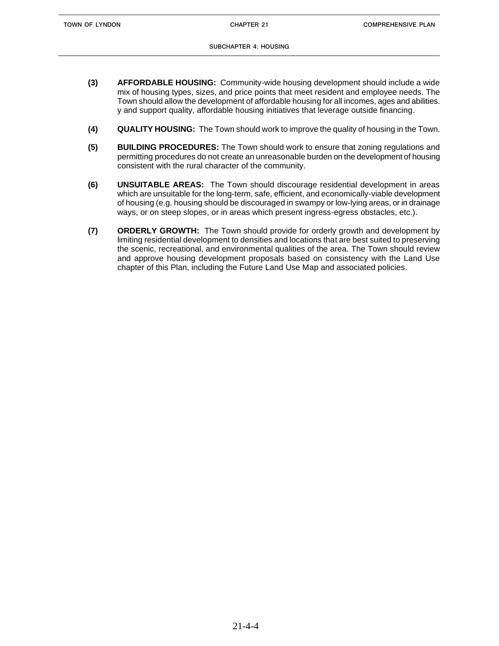- **(3) AFFORDABLE HOUSING:** Community-wide housing development should include a wide mix of housing types, sizes, and price points that meet resident and employee needs. The Town should allow the development of affordable housing for all incomes, ages and abilities. y and support quality, affordable housing initiatives that leverage outside financing.
- **(4) QUALITY HOUSING:** The Town should work to improve the quality of housing in the Town.
- **(5) BUILDING PROCEDURES:** The Town should work to ensure that zoning regulations and permitting procedures do not create an unreasonable burden on the development of housing consistent with the rural character of the community.
- **(6) UNSUITABLE AREAS:** The Town should discourage residential development in areas which are unsuitable for the long-term, safe, efficient, and economically-viable development of housing (e.g. housing should be discouraged in swampy or low-lying areas, or in drainage ways, or on steep slopes, or in areas which present ingress-egress obstacles, etc.).
- **(7) ORDERLY GROWTH:** The Town should provide for orderly growth and development by limiting residential development to densities and locations that are best suited to preserving the scenic, recreational, and environmental qualities of the area. The Town should review and approve housing development proposals based on consistency with the Land Use chapter of this Plan, including the Future Land Use Map and associated policies.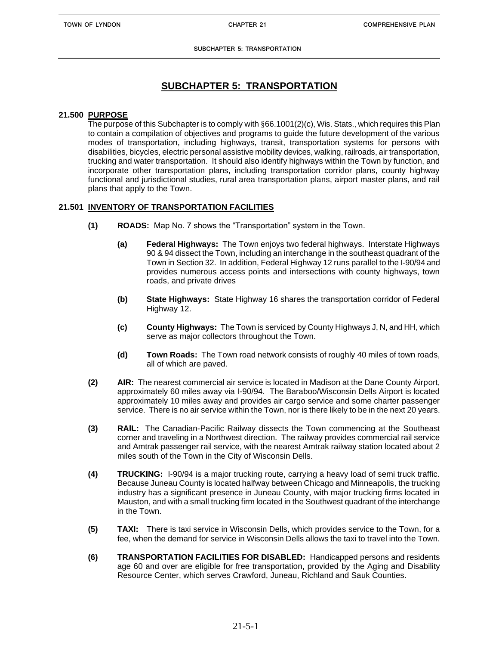## **SUBCHAPTER 5: TRANSPORTATION**

### **21.500 PURPOSE**

The purpose of this Subchapter is to comply with §66.1001(2)(c), Wis. Stats., which requires this Plan to contain a compilation of objectives and programs to guide the future development of the various modes of transportation, including highways, transit, transportation systems for persons with disabilities, bicycles, electric personal assistive mobility devices, walking, railroads, air transportation, trucking and water transportation. It should also identify highways within the Town by function, and incorporate other transportation plans, including transportation corridor plans, county highway functional and jurisdictional studies, rural area transportation plans, airport master plans, and rail plans that apply to the Town.

### **21.501 INVENTORY OF TRANSPORTATION FACILITIES**

- **(1) ROADS:** Map No. 7 shows the "Transportation" system in the Town.
	- **(a) Federal Highways:** The Town enjoys two federal highways. Interstate Highways 90 & 94 dissect the Town, including an interchange in the southeast quadrant of the Town in Section 32. In addition, Federal Highway 12 runs parallel to the I-90/94 and provides numerous access points and intersections with county highways, town roads, and private drives
	- **(b) State Highways:** State Highway 16 shares the transportation corridor of Federal Highway 12.
	- **(c) County Highways:** The Town is serviced by County Highways J, N, and HH, which serve as major collectors throughout the Town.
	- **(d) Town Roads:** The Town road network consists of roughly 40 miles of town roads, all of which are paved.
- **(2) AIR:** The nearest commercial air service is located in Madison at the Dane County Airport, approximately 60 miles away via I-90/94. The Baraboo/Wisconsin Dells Airport is located approximately 10 miles away and provides air cargo service and some charter passenger service. There is no air service within the Town, nor is there likely to be in the next 20 years.
- **(3) RAlL:** The Canadian-Pacific Railway dissects the Town commencing at the Southeast corner and traveling in a Northwest direction. The railway provides commercial rail service and Amtrak passenger rail service, with the nearest Amtrak railway station located about 2 miles south of the Town in the City of Wisconsin Dells.
- **(4) TRUCKING:** I-90/94 is a major trucking route, carrying a heavy load of semi truck traffic. Because Juneau County is located halfway between Chicago and Minneapolis, the trucking industry has a significant presence in Juneau County, with major trucking firms located in Mauston, and with a small trucking firm located in the Southwest quadrant of the interchange in the Town.
- **(5) TAXI:** There is taxi service in Wisconsin Dells, which provides service to the Town, for a fee, when the demand for service in Wisconsin Dells allows the taxi to travel into the Town.
- **(6) TRANSPORTATION FACILITIES FOR DISABLED:** Handicapped persons and residents age 60 and over are eligible for free transportation, provided by the Aging and Disability Resource Center, which serves Crawford, Juneau, Richland and Sauk Counties.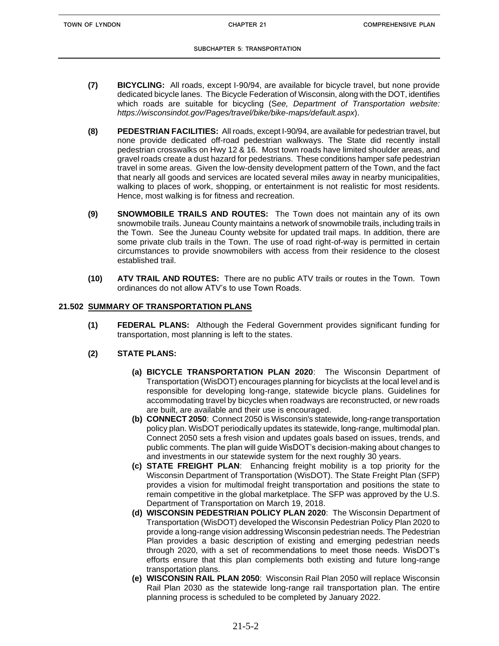- **(7) BICYCLING:** All roads, except I-90/94, are available for bicycle travel, but none provide dedicated bicycle lanes. The Bicycle Federation of Wisconsin, along with the DOT, identifies which roads are suitable for bicycling (S*ee, Department of Transportation website: https://wisconsindot.gov/Pages/travel/bike/bike-maps/default.aspx*).
- **(8) PEDESTRIAN FACILITIES:** All roads, except I-90/94, are available for pedestrian travel, but none provide dedicated off-road pedestrian walkways. The State did recently install pedestrian crosswalks on Hwy 12 & 16. Most town roads have limited shoulder areas, and gravel roads create a dust hazard for pedestrians. These conditions hamper safe pedestrian travel in some areas. Given the low-density development pattern of the Town, and the fact that nearly all goods and services are located several miles away in nearby municipalities, walking to places of work, shopping, or entertainment is not realistic for most residents. Hence, most walking is for fitness and recreation.
- **(9) SNOWMOBILE TRAILS AND ROUTES:** The Town does not maintain any of its own snowmobile trails. Juneau County maintains a network of snowmobile trails, including trails in the Town. See the Juneau County website for updated trail maps. In addition, there are some private club trails in the Town. The use of road right-of-way is permitted in certain circumstances to provide snowmobilers with access from their residence to the closest established trail.
- **(10) ATV TRAIL AND ROUTES:** There are no public ATV trails or routes in the Town. Town ordinances do not allow ATV's to use Town Roads.

### **21.502 SUMMARY OF TRANSPORTATION PLANS**

**(1) FEDERAL PLANS:** Although the Federal Government provides significant funding for transportation, most planning is left to the states.

### **(2) STATE PLANS:**

- **(a) BICYCLE TRANSPORTATION PLAN 2020**: The Wisconsin Department of Transportation (WisDOT) encourages planning for bicyclists at the local level and is responsible for developing long-range, statewide bicycle plans. Guidelines for accommodating travel by bicycles when roadways are reconstructed, or new roads are built, are available and their use is encouraged.
- **(b) CONNECT 2050**: Connect 2050 is Wisconsin's statewide, long-range transportation policy plan. WisDOT periodically updates its statewide, long-range, multimodal plan. Connect 2050 sets a fresh vision and updates goals based on issues, trends, and public comments. The plan will guide WisDOT's decision-making about changes to and investments in our statewide system for the next roughly 30 years.
- **(c) STATE FREIGHT PLAN**: Enhancing freight mobility is a top priority for the Wisconsin Department of Transportation (WisDOT). The State Freight Plan (SFP) provides a vision for multimodal freight transportation and positions the state to remain competitive in the global marketplace. The SFP was approved by the U.S. Department of Transportation on March 19, 2018.
- **(d) WISCONSIN PEDESTRIAN POLICY PLAN 2020**: The Wisconsin Department of Transportation (WisDOT) developed the Wisconsin Pedestrian Policy Plan 2020 to provide a long-range vision addressing Wisconsin pedestrian needs. The Pedestrian Plan provides a basic description of existing and emerging pedestrian needs through 2020, with a set of recommendations to meet those needs. WisDOT's efforts ensure that this plan complements both existing and future long-range transportation plans.
- **(e) WISCONSIN RAIL PLAN 2050**: Wisconsin Rail Plan 2050 will replace Wisconsin Rail Plan 2030 as the statewide long-range rail transportation plan. The entire planning process is scheduled to be completed by January 2022.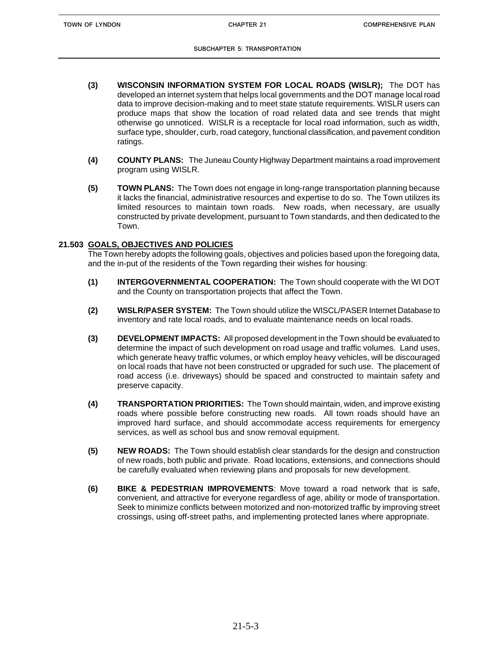#### **SUBCHAPTER 5: TRANSPORTATION**

- **(3) WISCONSIN INFORMATION SYSTEM FOR LOCAL ROADS (WISLR);** The DOT has developed an internet system that helps local governments and the DOT manage local road data to improve decision-making and to meet state statute requirements. WISLR users can produce maps that show the location of road related data and see trends that might otherwise go unnoticed. WISLR is a receptacle for local road information, such as width, surface type, shoulder, curb, road category, functional classification, and pavement condition ratings.
- **(4) COUNTY PLANS:** The Juneau County Highway Department maintains a road improvement program using WISLR.
- **(5) TOWN PLANS:** The Town does not engage in long-range transportation planning because it lacks the financial, administrative resources and expertise to do so. The Town utilizes its limited resources to maintain town roads. New roads, when necessary, are usually constructed by private development, pursuant to Town standards, and then dedicated to the Town.

#### **21.503 GOALS, OBJECTIVES AND POLICIES**

The Town hereby adopts the following goals, objectives and policies based upon the foregoing data, and the in-put of the residents of the Town regarding their wishes for housing:

- **(1) INTERGOVERNMENTAL COOPERATION:** The Town should cooperate with the WI DOT and the County on transportation projects that affect the Town.
- **(2) WISLR/PASER SYSTEM:** The Town should utilize the WISCL/PASER Internet Database to inventory and rate local roads, and to evaluate maintenance needs on local roads.
- **(3) DEVELOPMENT IMPACTS:** All proposed development in the Town should be evaluated to determine the impact of such development on road usage and traffic volumes. Land uses, which generate heavy traffic volumes, or which employ heavy vehicles, will be discouraged on local roads that have not been constructed or upgraded for such use. The placement of road access (i.e. driveways) should be spaced and constructed to maintain safety and preserve capacity.
- **(4) TRANSPORTATION PRIORITIES:** The Town should maintain, widen, and improve existing roads where possible before constructing new roads. All town roads should have an improved hard surface, and should accommodate access requirements for emergency services, as well as school bus and snow removal equipment.
- **(5) NEW ROADS:** The Town should establish clear standards for the design and construction of new roads, both public and private. Road locations, extensions, and connections should be carefully evaluated when reviewing plans and proposals for new development.
- **(6) BIKE & PEDESTRIAN IMPROVEMENTS**: Move toward a road network that is safe, convenient, and attractive for everyone regardless of age, ability or mode of transportation. Seek to minimize conflicts between motorized and non-motorized traffic by improving street crossings, using off-street paths, and implementing protected lanes where appropriate.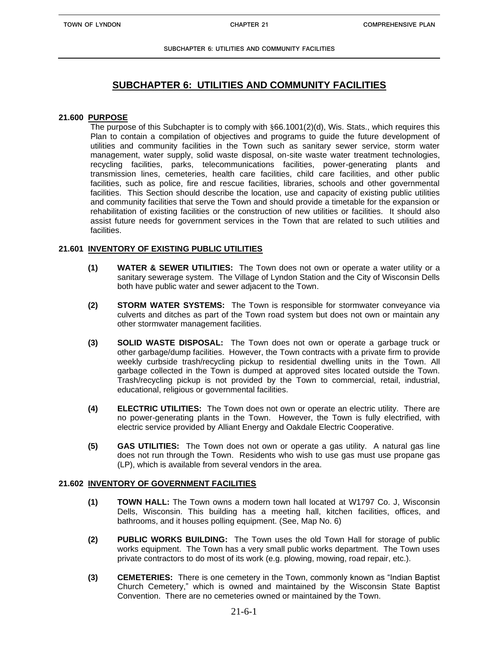**SUBCHAPTER 6: UTILITIES AND COMMUNITY FACILITIES**

## **SUBCHAPTER 6: UTILITIES AND COMMUNITY FACILITIES**

#### **21.600 PURPOSE**

The purpose of this Subchapter is to comply with §66.1001(2)(d), Wis. Stats., which requires this Plan to contain a compilation of objectives and programs to guide the future development of utilities and community facilities in the Town such as sanitary sewer service, storm water management, water supply, solid waste disposal, on-site waste water treatment technologies, recycling facilities, parks, telecommunications facilities, power-generating plants and transmission lines, cemeteries, health care facilities, child care facilities, and other public facilities, such as police, fire and rescue facilities, libraries, schools and other governmental facilities. This Section should describe the location, use and capacity of existing public utilities and community facilities that serve the Town and should provide a timetable for the expansion or rehabilitation of existing facilities or the construction of new utilities or facilities. It should also assist future needs for government services in the Town that are related to such utilities and facilities.

### **21.601 INVENTORY OF EXISTING PUBLIC UTILITIES**

- **(1) WATER & SEWER UTILITIES:** The Town does not own or operate a water utility or a sanitary sewerage system. The Village of Lyndon Station and the City of Wisconsin Dells both have public water and sewer adjacent to the Town.
- **(2) STORM WATER SYSTEMS:** The Town is responsible for stormwater conveyance via culverts and ditches as part of the Town road system but does not own or maintain any other stormwater management facilities.
- **(3) SOLID WASTE DISPOSAL:** The Town does not own or operate a garbage truck or other garbage/dump facilities. However, the Town contracts with a private firm to provide weekly curbside trash/recycling pickup to residential dwelling units in the Town. All garbage collected in the Town is dumped at approved sites located outside the Town. Trash/recycling pickup is not provided by the Town to commercial, retail, industrial, educational, religious or governmental facilities.
- **(4) ELECTRIC UTILITIES:** The Town does not own or operate an electric utility. There are no power-generating plants in the Town. However, the Town is fully electrified, with electric service provided by Alliant Energy and Oakdale Electric Cooperative.
- **(5) GAS UTILITIES:** The Town does not own or operate a gas utility. A natural gas line does not run through the Town. Residents who wish to use gas must use propane gas (LP), which is available from several vendors in the area.

#### **21.602 INVENTORY OF GOVERNMENT FACILITIES**

- **(1) TOWN HALL:** The Town owns a modern town hall located at W1797 Co. J, Wisconsin Dells, Wisconsin. This building has a meeting hall, kitchen facilities, offices, and bathrooms, and it houses polling equipment. (See, Map No. 6)
- **(2) PUBLIC WORKS BUILDING:** The Town uses the old Town Hall for storage of public works equipment. The Town has a very small public works department. The Town uses private contractors to do most of its work (e.g. plowing, mowing, road repair, etc.).
- **(3) CEMETERIES:** There is one cemetery in the Town, commonly known as "Indian Baptist Church Cemetery," which is owned and maintained by the Wisconsin State Baptist Convention. There are no cemeteries owned or maintained by the Town.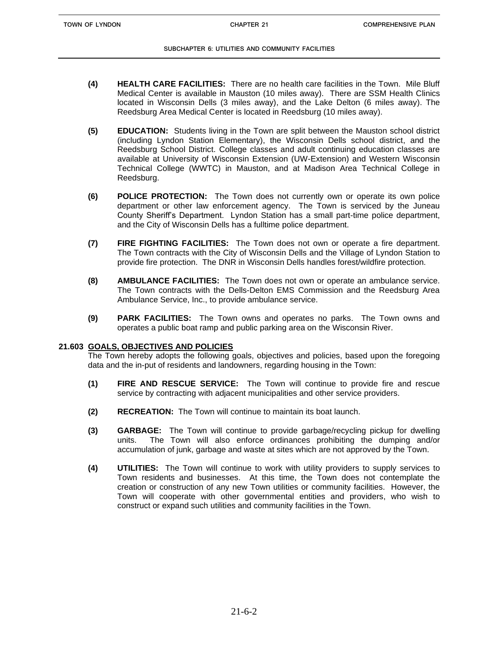#### **SUBCHAPTER 6: UTILITIES AND COMMUNITY FACILITIES**

- **(4) HEALTH CARE FACILITIES:** There are no health care facilities in the Town. Mile Bluff Medical Center is available in Mauston (10 miles away). There are SSM Health Clinics located in Wisconsin Dells (3 miles away), and the Lake Delton (6 miles away). The Reedsburg Area Medical Center is located in Reedsburg (10 miles away).
- **(5) EDUCATION:** Students living in the Town are split between the Mauston school district (including Lyndon Station Elementary), the Wisconsin Dells school district, and the Reedsburg School District. College classes and adult continuing education classes are available at University of Wisconsin Extension (UW-Extension) and Western Wisconsin Technical College (WWTC) in Mauston, and at Madison Area Technical College in Reedsburg.
- **(6) POLICE PROTECTION:** The Town does not currently own or operate its own police department or other law enforcement agency. The Town is serviced by the Juneau County Sheriff's Department. Lyndon Station has a small part-time police department, and the City of Wisconsin Dells has a fulltime police department.
- **(7) FIRE FIGHTING FACILITIES:** The Town does not own or operate a fire department. The Town contracts with the City of Wisconsin Dells and the Village of Lyndon Station to provide fire protection. The DNR in Wisconsin Dells handles forest/wildfire protection.
- **(8) AMBULANCE FACILITIES:** The Town does not own or operate an ambulance service. The Town contracts with the Dells-Delton EMS Commission and the Reedsburg Area Ambulance Service, Inc., to provide ambulance service.
- **(9) PARK FACILITIES:** The Town owns and operates no parks. The Town owns and operates a public boat ramp and public parking area on the Wisconsin River.

### **21.603 GOALS, OBJECTIVES AND POLICIES**

The Town hereby adopts the following goals, objectives and policies, based upon the foregoing data and the in-put of residents and landowners, regarding housing in the Town:

- **(1) FIRE AND RESCUE SERVICE:** The Town will continue to provide fire and rescue service by contracting with adjacent municipalities and other service providers.
- **(2) RECREATION:** The Town will continue to maintain its boat launch.
- **(3) GARBAGE:** The Town will continue to provide garbage/recycling pickup for dwelling units. The Town will also enforce ordinances prohibiting the dumping and/or accumulation of junk, garbage and waste at sites which are not approved by the Town.
- **(4) UTILITIES:** The Town will continue to work with utility providers to supply services to Town residents and businesses. At this time, the Town does not contemplate the creation or construction of any new Town utilities or community facilities. However, the Town will cooperate with other governmental entities and providers, who wish to construct or expand such utilities and community facilities in the Town.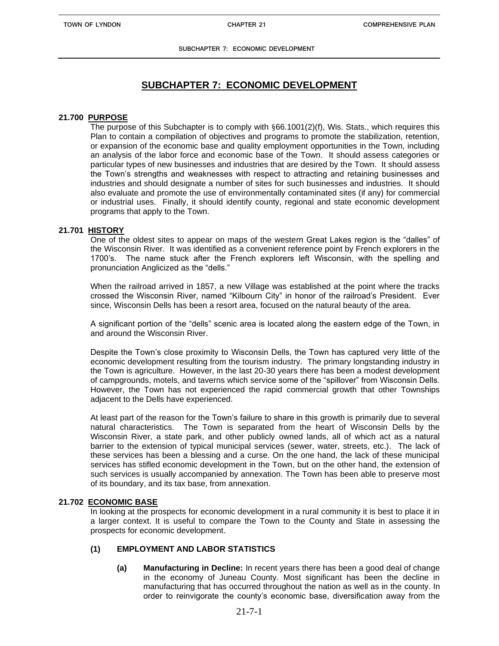## **SUBCHAPTER 7: ECONOMIC DEVELOPMENT**

#### **21.700 PURPOSE**

The purpose of this Subchapter is to comply with §66.1001(2)(f), Wis. Stats., which requires this Plan to contain a compilation of objectives and programs to promote the stabilization, retention, or expansion of the economic base and quality employment opportunities in the Town, including an analysis of the labor force and economic base of the Town. It should assess categories or particular types of new businesses and industries that are desired by the Town. It should assess the Town's strengths and weaknesses with respect to attracting and retaining businesses and industries and should designate a number of sites for such businesses and industries. It should also evaluate and promote the use of environmentally contaminated sites (if any) for commercial or industrial uses. Finally, it should identify county, regional and state economic development programs that apply to the Town.

#### **21.701 HISTORY**

One of the oldest sites to appear on maps of the western Great Lakes region is the "dalles" of the Wisconsin River. It was identified as a convenient reference point by French explorers in the 1700's. The name stuck after the French explorers left Wisconsin, with the spelling and pronunciation Anglicized as the "dells."

When the railroad arrived in 1857, a new Village was established at the point where the tracks crossed the Wisconsin River, named "Kilbourn City" in honor of the railroad's President. Ever since, Wisconsin Dells has been a resort area, focused on the natural beauty of the area.

A significant portion of the "dells" scenic area is located along the eastern edge of the Town, in and around the Wisconsin River.

Despite the Town's close proximity to Wisconsin Dells, the Town has captured very little of the economic development resulting from the tourism industry. The primary longstanding industry in the Town is agriculture. However, in the last 20-30 years there has been a modest development of campgrounds, motels, and taverns which service some of the "spillover" from Wisconsin Dells. However, the Town has not experienced the rapid commercial growth that other Townships adjacent to the Dells have experienced.

At least part of the reason for the Town's failure to share in this growth is primarily due to several natural characteristics. The Town is separated from the heart of Wisconsin Dells by the Wisconsin River, a state park, and other publicly owned lands, all of which act as a natural barrier to the extension of typical municipal services (sewer, water, streets, etc.). The lack of these services has been a blessing and a curse. On the one hand, the lack of these municipal services has stifled economic development in the Town, but on the other hand, the extension of such services is usually accompanied by annexation. The Town has been able to preserve most of its boundary, and its tax base, from annexation.

#### **21.702 ECONOMIC BASE**

In looking at the prospects for economic development in a rural community it is best to place it in a larger context. It is useful to compare the Town to the County and State in assessing the prospects for economic development.

#### **(1) EMPLOYMENT AND LABOR STATISTICS**

**(a) Manufacturing in Decline:** In recent years there has been a good deal of change in the economy of Juneau County. Most significant has been the decline in manufacturing that has occurred throughout the nation as well as in the county. In order to reinvigorate the county's economic base, diversification away from the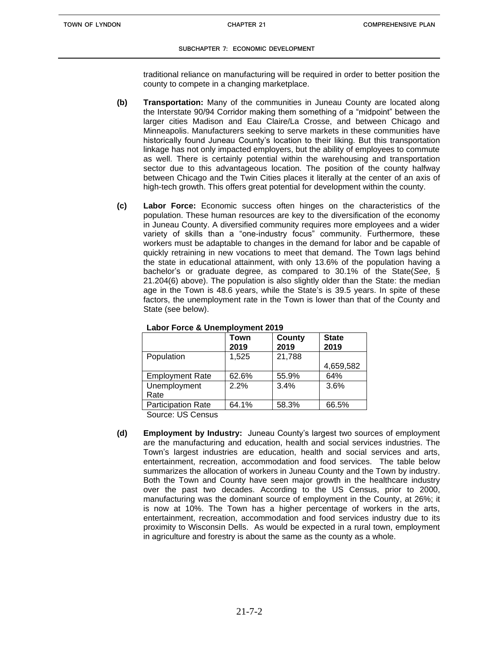#### **SUBCHAPTER 7: ECONOMIC DEVELOPMENT**

traditional reliance on manufacturing will be required in order to better position the county to compete in a changing marketplace.

- **(b) Transportation:** Many of the communities in Juneau County are located along the Interstate 90/94 Corridor making them something of a "midpoint" between the larger cities Madison and Eau Claire/La Crosse, and between Chicago and Minneapolis. Manufacturers seeking to serve markets in these communities have historically found Juneau County's location to their liking. But this transportation linkage has not only impacted employers, but the ability of employees to commute as well. There is certainly potential within the warehousing and transportation sector due to this advantageous location. The position of the county halfway between Chicago and the Twin Cities places it literally at the center of an axis of high-tech growth. This offers great potential for development within the county.
- **(c) Labor Force:** Economic success often hinges on the characteristics of the population. These human resources are key to the diversification of the economy in Juneau County. A diversified community requires more employees and a wider variety of skills than a "one-industry focus" community. Furthermore, these workers must be adaptable to changes in the demand for labor and be capable of quickly retraining in new vocations to meet that demand. The Town lags behind the state in educational attainment, with only 13.6% of the population having a bachelor's or graduate degree, as compared to 30.1% of the State(*See*, § 21.204(6) above). The population is also slightly older than the State: the median age in the Town is 48.6 years, while the State's is 39.5 years. In spite of these factors, the unemployment rate in the Town is lower than that of the County and State (see below).

|                           | Town<br>2019 | <b>County</b><br>2019 | <b>State</b><br>2019 |
|---------------------------|--------------|-----------------------|----------------------|
| Population                | 1,525        | 21,788                |                      |
|                           |              |                       | 4,659,582            |
| <b>Employment Rate</b>    | 62.6%        | 55.9%                 | 64%                  |
| Unemployment              | 2.2%         | 3.4%                  | 3.6%                 |
| Rate                      |              |                       |                      |
| <b>Participation Rate</b> | 64.1%        | 58.3%                 | 66.5%                |

**Labor Force & Unemployment 2019**

Source: US Census

**(d) Employment by Industry:** Juneau County's largest two sources of employment are the manufacturing and education, health and social services industries. The Town's largest industries are education, health and social services and arts, entertainment, recreation, accommodation and food services. The table below summarizes the allocation of workers in Juneau County and the Town by industry. Both the Town and County have seen major growth in the healthcare industry over the past two decades. According to the US Census, prior to 2000, manufacturing was the dominant source of employment in the County, at 26%; it is now at 10%. The Town has a higher percentage of workers in the arts, entertainment, recreation, accommodation and food services industry due to its proximity to Wisconsin Dells. As would be expected in a rural town, employment in agriculture and forestry is about the same as the county as a whole.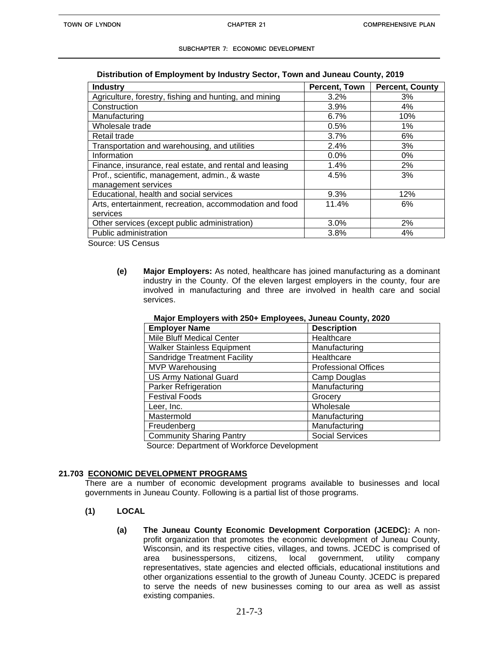#### **Distribution of Employment by Industry Sector, Town and Juneau County, 2019**

| <b>Industry</b>                                         | Percent, Town | <b>Percent, County</b> |
|---------------------------------------------------------|---------------|------------------------|
| Agriculture, forestry, fishing and hunting, and mining  | 3.2%          | 3%                     |
| Construction                                            | 3.9%          | 4%                     |
| Manufacturing                                           | 6.7%          | 10%                    |
| Wholesale trade                                         | 0.5%          | $1\%$                  |
| Retail trade                                            | 3.7%          | 6%                     |
| Transportation and warehousing, and utilities           | 2.4%          | 3%                     |
| Information                                             | 0.0%          | $0\%$                  |
| Finance, insurance, real estate, and rental and leasing | 1.4%          | 2%                     |
| Prof., scientific, management, admin., & waste          | 4.5%          | 3%                     |
| management services                                     |               |                        |
| Educational, health and social services                 | 9.3%          | 12%                    |
| Arts, entertainment, recreation, accommodation and food | 11.4%         | 6%                     |
| services                                                |               |                        |
| Other services (except public administration)           | $3.0\%$       | 2%                     |
| Public administration                                   | 3.8%          | 4%                     |

Source: US Census

**(e) Major Employers:** As noted, healthcare has joined manufacturing as a dominant industry in the County. Of the eleven largest employers in the county, four are involved in manufacturing and three are involved in health care and social services.

| <b>Employer Name</b>                | <b>Description</b>          |
|-------------------------------------|-----------------------------|
| Mile Bluff Medical Center           | Healthcare                  |
| <b>Walker Stainless Equipment</b>   | Manufacturing               |
| <b>Sandridge Treatment Facility</b> | Healthcare                  |
| <b>MVP Warehousing</b>              | <b>Professional Offices</b> |
| <b>US Army National Guard</b>       | Camp Douglas                |
| <b>Parker Refrigeration</b>         | Manufacturing               |
| <b>Festival Foods</b>               | Grocery                     |
| Leer, Inc.                          | Wholesale                   |
| Mastermold                          | Manufacturing               |
| Freudenberg                         | Manufacturing               |
| <b>Community Sharing Pantry</b>     | <b>Social Services</b>      |

 **Major Employers with 250+ Employees, Juneau County, 2020**

Source: Department of Workforce Development

#### **21.703 ECONOMIC DEVELOPMENT PROGRAMS**

There are a number of economic development programs available to businesses and local governments in Juneau County. Following is a partial list of those programs.

- **(1) LOCAL**
	- **(a) The Juneau County Economic Development Corporation (JCEDC):** A nonprofit organization that promotes the economic development of Juneau County, Wisconsin, and its respective cities, villages, and towns. JCEDC is comprised of area businesspersons, citizens, local government, utility company area businesspersons, citizens, local government, utility company representatives, state agencies and elected officials, educational institutions and other organizations essential to the growth of Juneau County. JCEDC is prepared to serve the needs of new businesses coming to our area as well as assist existing companies.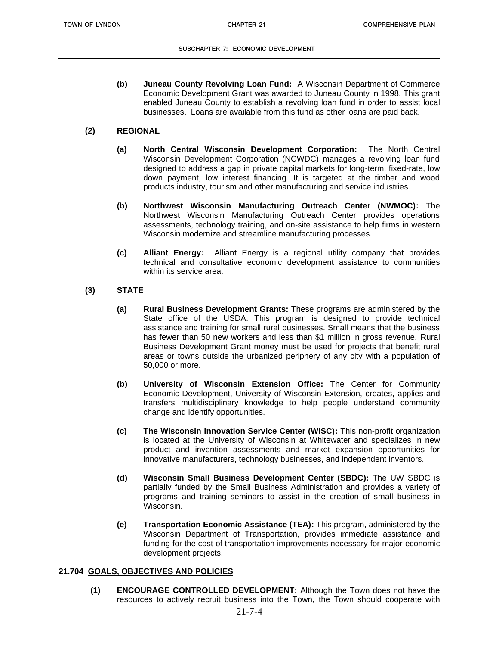#### **SUBCHAPTER 7: ECONOMIC DEVELOPMENT**

**(b) Juneau County Revolving Loan Fund:** A Wisconsin Department of Commerce Economic Development Grant was awarded to Juneau County in 1998. This grant enabled Juneau County to establish a revolving loan fund in order to assist local businesses. Loans are available from this fund as other loans are paid back.

### **(2) REGIONAL**

- **(a) North Central Wisconsin Development Corporation:** The North Central Wisconsin Development Corporation (NCWDC) manages a revolving loan fund designed to address a gap in private capital markets for long-term, fixed-rate, low down payment, low interest financing. It is targeted at the timber and wood products industry, tourism and other manufacturing and service industries.
- **(b) Northwest Wisconsin Manufacturing Outreach Center (NWMOC):** The Northwest Wisconsin Manufacturing Outreach Center provides operations assessments, technology training, and on-site assistance to help firms in western Wisconsin modernize and streamline manufacturing processes.
- **(c) Alliant Energy:** Alliant Energy is a regional utility company that provides technical and consultative economic development assistance to communities within its service area.

### **(3) STATE**

- **(a) Rural Business Development Grants:** These programs are administered by the State office of the USDA. This program is designed to provide technical assistance and training for small rural businesses. Small means that the business has fewer than 50 new workers and less than \$1 million in gross revenue. Rural Business Development Grant money must be used for projects that benefit rural areas or towns outside the urbanized periphery of any city with a population of 50,000 or more.
- **(b) University of Wisconsin Extension Office:** The Center for Community Economic Development, University of Wisconsin Extension, creates, applies and transfers multidisciplinary knowledge to help people understand community change and identify opportunities.
- **(c) The Wisconsin Innovation Service Center (WISC):** This non-profit organization is located at the University of Wisconsin at Whitewater and specializes in new product and invention assessments and market expansion opportunities for innovative manufacturers, technology businesses, and independent inventors.
- **(d) Wisconsin Small Business Development Center (SBDC):** The UW SBDC is partially funded by the Small Business Administration and provides a variety of programs and training seminars to assist in the creation of small business in Wisconsin.
- **(e) Transportation Economic Assistance (TEA):** This program, administered by the Wisconsin Department of Transportation, provides immediate assistance and funding for the cost of transportation improvements necessary for major economic development projects.

### **21.704 GOALS, OBJECTIVES AND POLICIES**

**(1) ENCOURAGE CONTROLLED DEVELOPMENT:** Although the Town does not have the resources to actively recruit business into the Town, the Town should cooperate with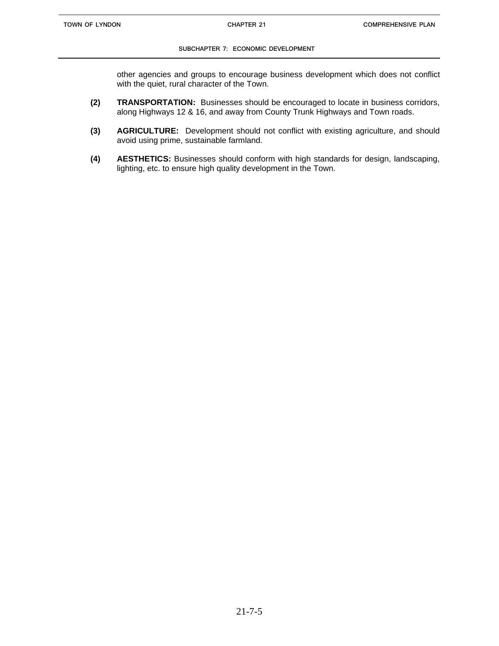#### **SUBCHAPTER 7: ECONOMIC DEVELOPMENT**

other agencies and groups to encourage business development which does not conflict with the quiet, rural character of the Town.

- **(2) TRANSPORTATION:** Businesses should be encouraged to locate in business corridors, along Highways 12 & 16, and away from County Trunk Highways and Town roads.
- **(3) AGRICULTURE:** Development should not conflict with existing agriculture, and should avoid using prime, sustainable farmland.
- **(4) AESTHETICS:** Businesses should conform with high standards for design, landscaping, lighting, etc. to ensure high quality development in the Town.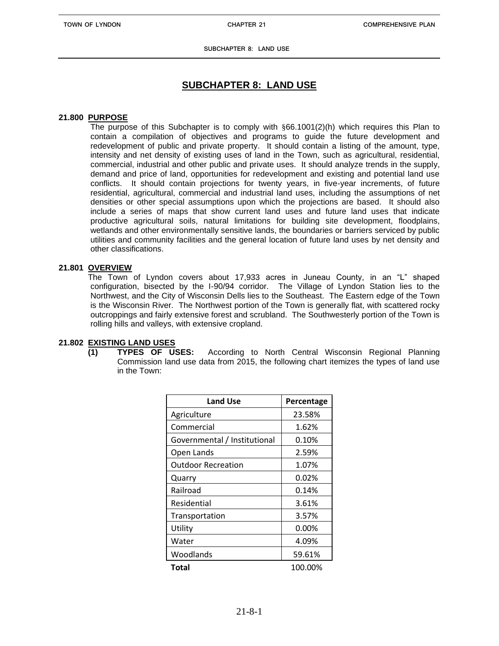**SUBCHAPTER 8: LAND USE**

## **SUBCHAPTER 8: LAND USE**

### **21.800 PURPOSE**

The purpose of this Subchapter is to comply with §66.1001(2)(h) which requires this Plan to contain a compilation of objectives and programs to guide the future development and redevelopment of public and private property. It should contain a listing of the amount, type, intensity and net density of existing uses of land in the Town, such as agricultural, residential, commercial, industrial and other public and private uses. It should analyze trends in the supply, demand and price of land, opportunities for redevelopment and existing and potential land use conflicts. It should contain projections for twenty years, in five-year increments, of future residential, agricultural, commercial and industrial land uses, including the assumptions of net densities or other special assumptions upon which the projections are based. It should also include a series of maps that show current land uses and future land uses that indicate productive agricultural soils, natural limitations for building site development, floodplains, wetlands and other environmentally sensitive lands, the boundaries or barriers serviced by public utilities and community facilities and the general location of future land uses by net density and other classifications.

#### **21.801 OVERVIEW**

The Town of Lyndon covers about 17,933 acres in Juneau County, in an "L" shaped configuration, bisected by the I-90/94 corridor. The Village of Lyndon Station lies to the Northwest, and the City of Wisconsin Dells lies to the Southeast. The Eastern edge of the Town is the Wisconsin River. The Northwest portion of the Town is generally flat, with scattered rocky outcroppings and fairly extensive forest and scrubland. The Southwesterly portion of the Town is rolling hills and valleys, with extensive cropland.

### **21.802 EXISTING LAND USES**

**(1) TYPES OF USES:** According to North Central Wisconsin Regional Planning Commission land use data from 2015, the following chart itemizes the types of land use in the Town:

| <b>Land Use</b>              | Percentage |
|------------------------------|------------|
| Agriculture                  | 23.58%     |
| Commercial                   | 1.62%      |
| Governmental / Institutional | 0.10%      |
| Open Lands                   | 2.59%      |
| <b>Outdoor Recreation</b>    | 1.07%      |
| Quarry                       | 0.02%      |
| Railroad                     | 0.14%      |
| Residential                  | 3.61%      |
| Transportation               | 3.57%      |
| Utility                      | $0.00\%$   |
| Water                        | 4.09%      |
| Woodlands                    | 59.61%     |
| Total                        | 100.00%    |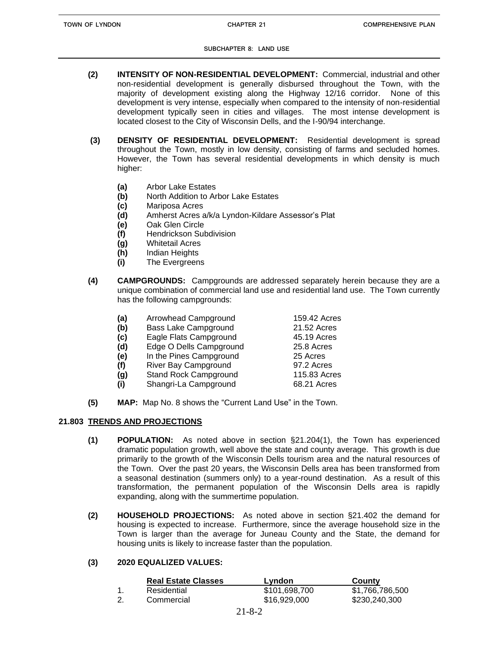**SUBCHAPTER 8: LAND USE**

- **(2) INTENSITY OF NON-RESIDENTIAL DEVELOPMENT:** Commercial, industrial and other non-residential development is generally disbursed throughout the Town, with the majority of development existing along the Highway 12/16 corridor. None of this development is very intense, especially when compared to the intensity of non-residential development typically seen in cities and villages. The most intense development is located closest to the City of Wisconsin Dells, and the I-90/94 interchange.
- **(3) DENSITY OF RESIDENTIAL DEVELOPMENT:** Residential development is spread throughout the Town, mostly in low density, consisting of farms and secluded homes. However, the Town has several residential developments in which density is much higher:
	- **(a)** Arbor Lake Estates
	- **(b)** North Addition to Arbor Lake Estates
	- **(c)** Mariposa Acres
	- **(d)** Amherst Acres a/k/a Lyndon-Kildare Assessor's Plat
	- **(e)** Oak Glen Circle
	- **(f)** Hendrickson Subdivision
	- **(g)** Whitetail Acres
	- **(h)** Indian Heights
	- **(i)** The Evergreens
- **(4) CAMPGROUNDS:** Campgrounds are addressed separately herein because they are a unique combination of commercial land use and residential land use. The Town currently has the following campgrounds:

| (a) | Arrowhead Campground         | 159.42 Acres |
|-----|------------------------------|--------------|
| (b) | <b>Bass Lake Campground</b>  | 21.52 Acres  |
| (c) | Eagle Flats Campground       | 45.19 Acres  |
| (d) | Edge O Dells Campground      | 25.8 Acres   |
| (e) | In the Pines Campground      | 25 Acres     |
| (f) | River Bay Campground         | 97.2 Acres   |
| (g) | <b>Stand Rock Campground</b> | 115.83 Acres |
| (i) | Shangri-La Campground        | 68.21 Acres  |

**(5) MAP:** Map No. 8 shows the "Current Land Use" in the Town.

### **21.803 TRENDS AND PROJECTIONS**

- **(1) POPULATION:** As noted above in section §21.204(1), the Town has experienced dramatic population growth, well above the state and county average. This growth is due primarily to the growth of the Wisconsin Dells tourism area and the natural resources of the Town. Over the past 20 years, the Wisconsin Dells area has been transformed from a seasonal destination (summers only) to a year-round destination. As a result of this transformation, the permanent population of the Wisconsin Dells area is rapidly expanding, along with the summertime population.
- **(2) HOUSEHOLD PROJECTIONS:** As noted above in section §21.402 the demand for housing is expected to increase. Furthermore, since the average household size in the Town is larger than the average for Juneau County and the State, the demand for housing units is likely to increase faster than the population.

### **(3) 2020 EQUALIZED VALUES:**

|    | <b>Real Estate Classes</b> | Lyndon        | County          |
|----|----------------------------|---------------|-----------------|
|    | Residential                | \$101,698,700 | \$1,766,786,500 |
| 2. | Commercial                 | \$16,929,000  | \$230,240,300   |
|    |                            | 2102          |                 |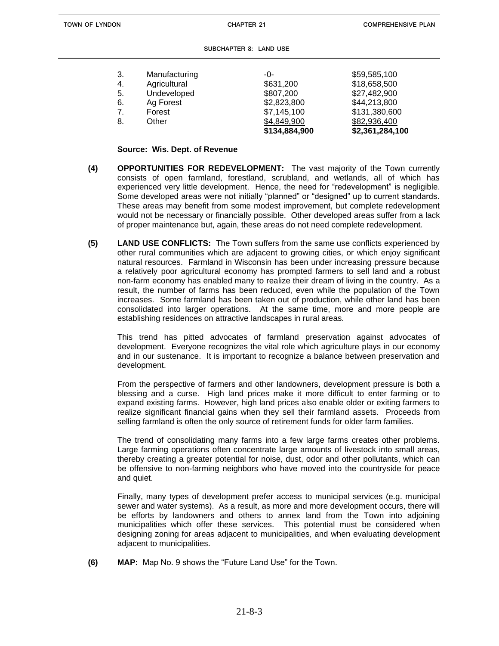| 3. | Manufacturing | -0-           | \$59,585,100    |
|----|---------------|---------------|-----------------|
| 4. | Agricultural  | \$631,200     | \$18,658,500    |
| 5. | Undeveloped   | \$807,200     | \$27,482,900    |
| 6. | Ag Forest     | \$2,823,800   | \$44,213,800    |
| 7. | Forest        | \$7,145,100   | \$131,380,600   |
| 8. | Other         | \$4,849,900   | \$82,936,400    |
|    |               | \$134,884,900 | \$2,361,284,100 |

#### **Source: Wis. Dept. of Revenue**

- **(4) OPPORTUNITIES FOR REDEVELOPMENT:** The vast majority of the Town currently consists of open farmland, forestland, scrubland, and wetlands, all of which has experienced very little development. Hence, the need for "redevelopment" is negligible. Some developed areas were not initially "planned" or "designed" up to current standards. These areas may benefit from some modest improvement, but complete redevelopment would not be necessary or financially possible. Other developed areas suffer from a lack of proper maintenance but, again, these areas do not need complete redevelopment.
- **(5) LAND USE CONFLICTS:** The Town suffers from the same use conflicts experienced by other rural communities which are adjacent to growing cities, or which enjoy significant natural resources. Farmland in Wisconsin has been under increasing pressure because a relatively poor agricultural economy has prompted farmers to sell land and a robust non-farm economy has enabled many to realize their dream of living in the country. As a result, the number of farms has been reduced, even while the population of the Town increases. Some farmland has been taken out of production, while other land has been consolidated into larger operations. At the same time, more and more people are establishing residences on attractive landscapes in rural areas.

This trend has pitted advocates of farmland preservation against advocates of development. Everyone recognizes the vital role which agriculture plays in our economy and in our sustenance. It is important to recognize a balance between preservation and development.

From the perspective of farmers and other landowners, development pressure is both a blessing and a curse. High land prices make it more difficult to enter farming or to expand existing farms. However, high land prices also enable older or exiting farmers to realize significant financial gains when they sell their farmland assets. Proceeds from selling farmland is often the only source of retirement funds for older farm families.

The trend of consolidating many farms into a few large farms creates other problems. Large farming operations often concentrate large amounts of livestock into small areas, thereby creating a greater potential for noise, dust, odor and other pollutants, which can be offensive to non-farming neighbors who have moved into the countryside for peace and quiet.

Finally, many types of development prefer access to municipal services (e.g. municipal sewer and water systems). As a result, as more and more development occurs, there will be efforts by landowners and others to annex land from the Town into adjoining municipalities which offer these services. This potential must be considered when designing zoning for areas adjacent to municipalities, and when evaluating development adjacent to municipalities.

**(6) MAP:** Map No. 9 shows the "Future Land Use" for the Town.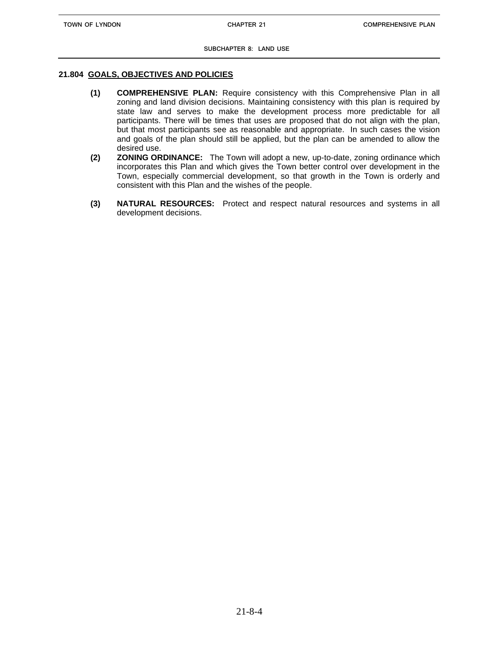#### **21.804 GOALS, OBJECTIVES AND POLICIES**

- **(1) COMPREHENSIVE PLAN:** Require consistency with this Comprehensive Plan in all zoning and land division decisions. Maintaining consistency with this plan is required by state law and serves to make the development process more predictable for all participants. There will be times that uses are proposed that do not align with the plan, but that most participants see as reasonable and appropriate. In such cases the vision and goals of the plan should still be applied, but the plan can be amended to allow the desired use.
- **(2) ZONING ORDINANCE:** The Town will adopt a new, up-to-date, zoning ordinance which incorporates this Plan and which gives the Town better control over development in the Town, especially commercial development, so that growth in the Town is orderly and consistent with this Plan and the wishes of the people.
- **(3) NATURAL RESOURCES:** Protect and respect natural resources and systems in all development decisions.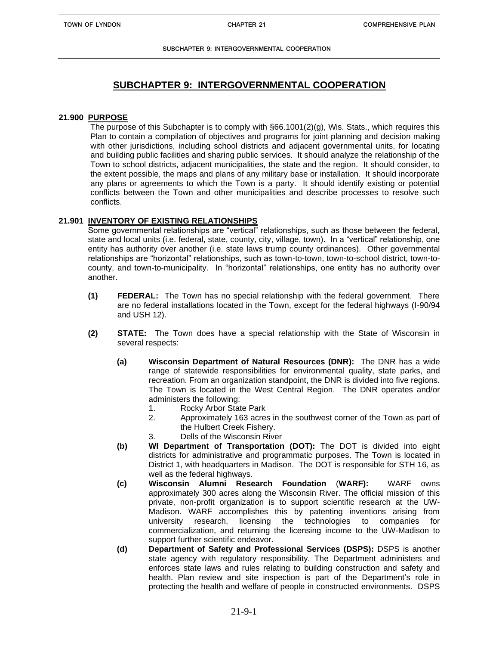## **SUBCHAPTER 9: INTERGOVERNMENTAL COOPERATION**

### **21.900 PURPOSE**

The purpose of this Subchapter is to comply with  $\S66.1001(2)(g)$ , Wis. Stats., which requires this Plan to contain a compilation of objectives and programs for joint planning and decision making with other jurisdictions, including school districts and adjacent governmental units, for locating and building public facilities and sharing public services. It should analyze the relationship of the Town to school districts, adjacent municipalities, the state and the region. It should consider, to the extent possible, the maps and plans of any military base or installation. It should incorporate any plans or agreements to which the Town is a party. It should identify existing or potential conflicts between the Town and other municipalities and describe processes to resolve such conflicts.

### **21.901 INVENTORY OF EXISTING RELATIONSHIPS**

Some governmental relationships are "vertical" relationships, such as those between the federal, state and local units (i.e. federal, state, county, city, village, town). In a "vertical" relationship, one entity has authority over another (i.e. state laws trump county ordinances). Other governmental relationships are "horizontal" relationships, such as town-to-town, town-to-school district, town-tocounty, and town-to-municipality. In "horizontal" relationships, one entity has no authority over another.

- **(1) FEDERAL:** The Town has no special relationship with the federal government. There are no federal installations located in the Town, except for the federal highways (I-90/94 and USH 12).
- **(2) STATE:** The Town does have a special relationship with the State of Wisconsin in several respects:
	- **(a) Wisconsin Department of Natural Resources (DNR):** The DNR has a wide range of statewide responsibilities for environmental quality, state parks, and recreation. From an organization standpoint, the DNR is divided into five regions. The Town is located in the West Central Region. The DNR operates and/or administers the following:
		- 1. Rocky Arbor State Park
		- 2. Approximately 163 acres in the southwest corner of the Town as part of the Hulbert Creek Fishery.
		- 3. Dells of the Wisconsin River
	- **(b) WI Department of Transportation (DOT):** The DOT is divided into eight districts for administrative and programmatic purposes. The Town is located in District 1, with headquarters in Madison. The DOT is responsible for STH 16, as well as the federal highways.
	- **(c) Wisconsin Alumni Research Foundation** (**WARF):** WARF owns approximately 300 acres along the Wisconsin River. The official mission of this private, non-profit organization is to support scientific research at the UW-Madison. WARF accomplishes this by patenting inventions arising from university research, licensing the technologies to companies for commercialization, and returning the licensing income to the UW-Madison to support further scientific endeavor.
	- **(d) Department of Safety and Professional Services (DSPS):** DSPS is another state agency with regulatory responsibility. The Department administers and enforces state laws and rules relating to building construction and safety and health. Plan review and site inspection is part of the Department's role in protecting the health and welfare of people in constructed environments. DSPS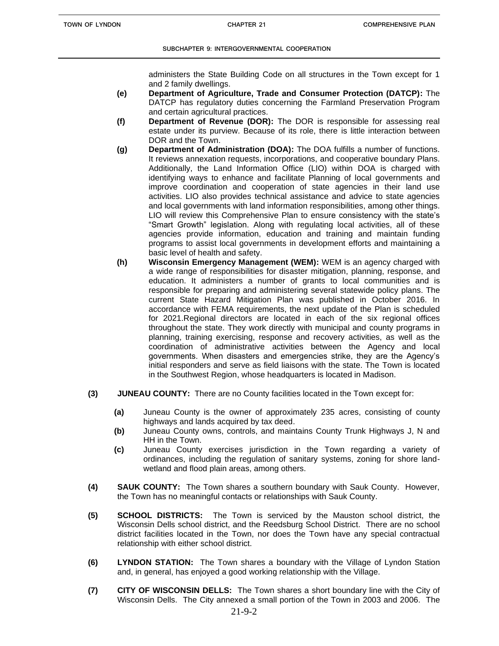administers the State Building Code on all structures in the Town except for 1 and 2 family dwellings.

- **(e) Department of Agriculture, Trade and Consumer Protection (DATCP):** The DATCP has regulatory duties concerning the Farmland Preservation Program and certain agricultural practices.
- **(f) Department of Revenue (DOR):** The DOR is responsible for assessing real estate under its purview. Because of its role, there is little interaction between DOR and the Town.
- **(g) Department of Administration (DOA):** The DOA fulfills a number of functions. It reviews annexation requests, incorporations, and cooperative boundary Plans. Additionally, the Land Information Office (LIO) within DOA is charged with identifying ways to enhance and facilitate Planning of local governments and improve coordination and cooperation of state agencies in their land use activities. LIO also provides technical assistance and advice to state agencies and local governments with land information responsibilities, among other things. LIO will review this Comprehensive Plan to ensure consistency with the state's "Smart Growth" legislation. Along with regulating local activities, all of these agencies provide information, education and training and maintain funding programs to assist local governments in development efforts and maintaining a basic level of health and safety.
- **(h) Wisconsin Emergency Management (WEM):** WEM is an agency charged with a wide range of responsibilities for disaster mitigation, planning, response, and education. It administers a number of grants to local communities and is responsible for preparing and administering several statewide policy plans. The current State Hazard Mitigation Plan was published in October 2016. In accordance with FEMA requirements, the next update of the Plan is scheduled for 2021.Regional directors are located in each of the six regional offices throughout the state. They work directly with municipal and county programs in planning, training exercising, response and recovery activities, as well as the coordination of administrative activities between the Agency and local governments. When disasters and emergencies strike, they are the Agency's initial responders and serve as field liaisons with the state. The Town is located in the Southwest Region, whose headquarters is located in Madison.
- **(3) JUNEAU COUNTY:** There are no County facilities located in the Town except for:
	- **(a)** Juneau County is the owner of approximately 235 acres, consisting of county highways and lands acquired by tax deed.
	- **(b)** Juneau County owns, controls, and maintains County Trunk Highways J, N and HH in the Town.
	- **(c)** Juneau County exercises jurisdiction in the Town regarding a variety of ordinances, including the regulation of sanitary systems, zoning for shore landwetland and flood plain areas, among others.
- **(4) SAUK COUNTY:** The Town shares a southern boundary with Sauk County. However, the Town has no meaningful contacts or relationships with Sauk County.
- **(5) SCHOOL DISTRICTS:** The Town is serviced by the Mauston school district, the Wisconsin Dells school district, and the Reedsburg School District. There are no school district facilities located in the Town, nor does the Town have any special contractual relationship with either school district.
- **(6) LYNDON STATION:** The Town shares a boundary with the Village of Lyndon Station and, in general, has enjoyed a good working relationship with the Village.
- **(7) CITY OF WISCONSIN DELLS:** The Town shares a short boundary line with the City of Wisconsin Dells. The City annexed a small portion of the Town in 2003 and 2006. The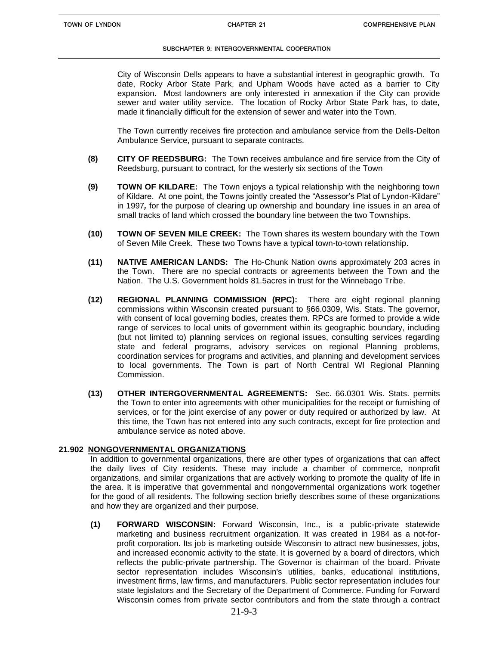City of Wisconsin Dells appears to have a substantial interest in geographic growth. To date, Rocky Arbor State Park, and Upham Woods have acted as a barrier to City expansion. Most landowners are only interested in annexation if the City can provide sewer and water utility service. The location of Rocky Arbor State Park has, to date, made it financially difficult for the extension of sewer and water into the Town.

The Town currently receives fire protection and ambulance service from the Dells-Delton Ambulance Service, pursuant to separate contracts.

- **(8) CITY OF REEDSBURG:** The Town receives ambulance and fire service from the City of Reedsburg, pursuant to contract, for the westerly six sections of the Town
- **(9) TOWN OF KILDARE:** The Town enjoys a typical relationship with the neighboring town of Kildare. At one point, the Towns jointly created the "Assessor's Plat of Lyndon-Kildare" in 1997*,* for the purpose of clearing up ownership and boundary line issues in an area of small tracks of land which crossed the boundary line between the two Townships.
- **(10) TOWN OF SEVEN MILE CREEK:** The Town shares its western boundary with the Town of Seven Mile Creek. These two Towns have a typical town-to-town relationship.
- **(11) NATIVE AMERICAN LANDS:** The Ho-Chunk Nation owns approximately 203 acres in the Town. There are no special contracts or agreements between the Town and the Nation. The U.S. Government holds 81.5acres in trust for the Winnebago Tribe.
- **(12) REGIONAL PLANNING COMMISSION (RPC):** There are eight regional planning commissions within Wisconsin created pursuant to §66.0309, Wis. Stats. The governor, with consent of local governing bodies, creates them. RPCs are formed to provide a wide range of services to local units of government within its geographic boundary, including (but not limited to) planning services on regional issues, consulting services regarding state and federal programs, advisory services on regional Planning problems, coordination services for programs and activities, and planning and development services to local governments. The Town is part of North Central WI Regional Planning Commission.
- **(13) OTHER INTERGOVERNMENTAL AGREEMENTS:** Sec. 66.0301 Wis. Stats. permits the Town to enter into agreements with other municipalities for the receipt or furnishing of services, or for the joint exercise of any power or duty required or authorized by law. At this time, the Town has not entered into any such contracts, except for fire protection and ambulance service as noted above.

#### **21.902 NONGOVERNMENTAL ORGANIZATIONS**

In addition to governmental organizations, there are other types of organizations that can affect the daily lives of City residents. These may include a chamber of commerce, nonprofit organizations, and similar organizations that are actively working to promote the quality of life in the area. It is imperative that governmental and nongovernmental organizations work together for the good of all residents. The following section briefly describes some of these organizations and how they are organized and their purpose.

**(1) FORWARD WISCONSIN:** Forward Wisconsin, Inc., is a public-private statewide marketing and business recruitment organization. It was created in 1984 as a not-forprofit corporation. Its job is marketing outside Wisconsin to attract new businesses, jobs, and increased economic activity to the state. It is governed by a board of directors, which reflects the public-private partnership. The Governor is chairman of the board. Private sector representation includes Wisconsin's utilities, banks, educational institutions, investment firms, law firms, and manufacturers. Public sector representation includes four state legislators and the Secretary of the Department of Commerce. Funding for Forward Wisconsin comes from private sector contributors and from the state through a contract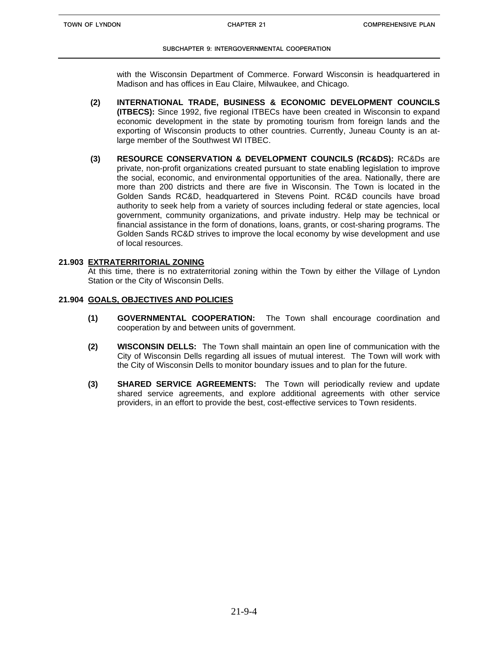with the Wisconsin Department of Commerce. Forward Wisconsin is headquartered in Madison and has offices in Eau Claire, Milwaukee, and Chicago.

- **(2) INTERNATIONAL TRADE, BUSINESS & ECONOMIC DEVELOPMENT COUNCILS (ITBECS):** Since 1992, five regional ITBECs have been created in Wisconsin to expand economic development in the state by promoting tourism from foreign lands and the exporting of Wisconsin products to other countries. Currently, Juneau County is an atlarge member of the Southwest WI ITBEC.
- **(3) RESOURCE CONSERVATION & DEVELOPMENT COUNCILS (RC&DS):** RC&Ds are private, non-profit organizations created pursuant to state enabling legislation to improve the social, economic, and environmental opportunities of the area. Nationally, there are more than 200 districts and there are five in Wisconsin. The Town is located in the Golden Sands RC&D, headquartered in Stevens Point. RC&D councils have broad authority to seek help from a variety of sources including federal or state agencies, local government, community organizations, and private industry. Help may be technical or financial assistance in the form of donations, loans, grants, or cost-sharing programs. The Golden Sands RC&D strives to improve the local economy by wise development and use of local resources.

#### **21.903 EXTRATERRITORIAL ZONING**

At this time, there is no extraterritorial zoning within the Town by either the Village of Lyndon Station or the City of Wisconsin Dells.

#### **21.904 GOALS, OBJECTIVES AND POLICIES**

- **(1) GOVERNMENTAL COOPERATION:** The Town shall encourage coordination and cooperation by and between units of government.
- **(2) WISCONSIN DELLS:** The Town shall maintain an open line of communication with the City of Wisconsin Dells regarding all issues of mutual interest. The Town will work with the City of Wisconsin Dells to monitor boundary issues and to plan for the future.
- **(3) SHARED SERVICE AGREEMENTS:** The Town will periodically review and update shared service agreements, and explore additional agreements with other service providers, in an effort to provide the best, cost-effective services to Town residents.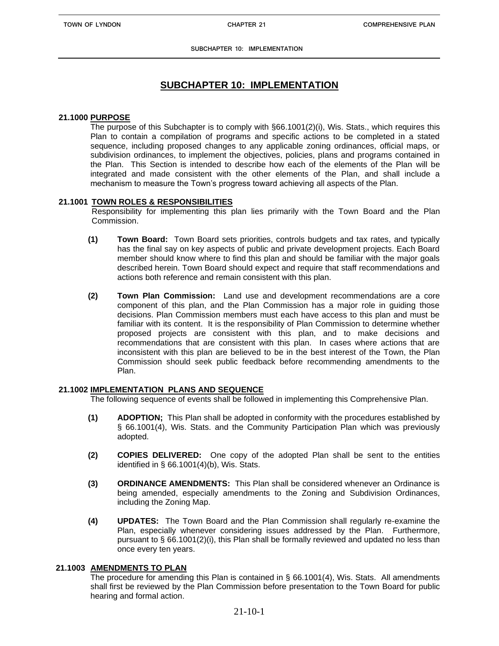## **SUBCHAPTER 10: IMPLEMENTATION**

#### **21.1000 PURPOSE**

The purpose of this Subchapter is to comply with §66.1001(2)(i), Wis. Stats., which requires this Plan to contain a compilation of programs and specific actions to be completed in a stated sequence, including proposed changes to any applicable zoning ordinances, official maps, or subdivision ordinances, to implement the objectives, policies, plans and programs contained in the Plan. This Section is intended to describe how each of the elements of the Plan will be integrated and made consistent with the other elements of the Plan, and shall include a mechanism to measure the Town's progress toward achieving all aspects of the Plan.

### **21.1001 TOWN ROLES & RESPONSIBILITIES**

Responsibility for implementing this plan lies primarily with the Town Board and the Plan Commission.

- **(1) Town Board:** Town Board sets priorities, controls budgets and tax rates, and typically has the final say on key aspects of public and private development projects. Each Board member should know where to find this plan and should be familiar with the major goals described herein. Town Board should expect and require that staff recommendations and actions both reference and remain consistent with this plan.
- **(2) Town Plan Commission:** Land use and development recommendations are a core component of this plan, and the Plan Commission has a major role in guiding those decisions. Plan Commission members must each have access to this plan and must be familiar with its content. It is the responsibility of Plan Commission to determine whether proposed projects are consistent with this plan, and to make decisions and recommendations that are consistent with this plan. In cases where actions that are inconsistent with this plan are believed to be in the best interest of the Town, the Plan Commission should seek public feedback before recommending amendments to the Plan.

### **21.1002 IMPLEMENTATION PLANS AND SEQUENCE**

The following sequence of events shall be followed in implementing this Comprehensive Plan.

- **(1) ADOPTION;** This Plan shall be adopted in conformity with the procedures established by § 66.1001(4), Wis. Stats. and the Community Participation Plan which was previously adopted.
- **(2) COPIES DELIVERED:** One copy of the adopted Plan shall be sent to the entities identified in § 66.1001(4)(b), Wis. Stats.
- **(3) ORDINANCE AMENDMENTS:** This Plan shall be considered whenever an Ordinance is being amended, especially amendments to the Zoning and Subdivision Ordinances, including the Zoning Map.
- **(4) UPDATES:** The Town Board and the Plan Commission shall regularly re-examine the Plan, especially whenever considering issues addressed by the Plan. Furthermore, pursuant to  $\S$  66.1001(2)(i), this Plan shall be formally reviewed and updated no less than once every ten years.

### **21.1003 AMENDMENTS TO PLAN**

The procedure for amending this Plan is contained in § 66.1001(4), Wis. Stats. All amendments shall first be reviewed by the Plan Commission before presentation to the Town Board for public hearing and formal action.